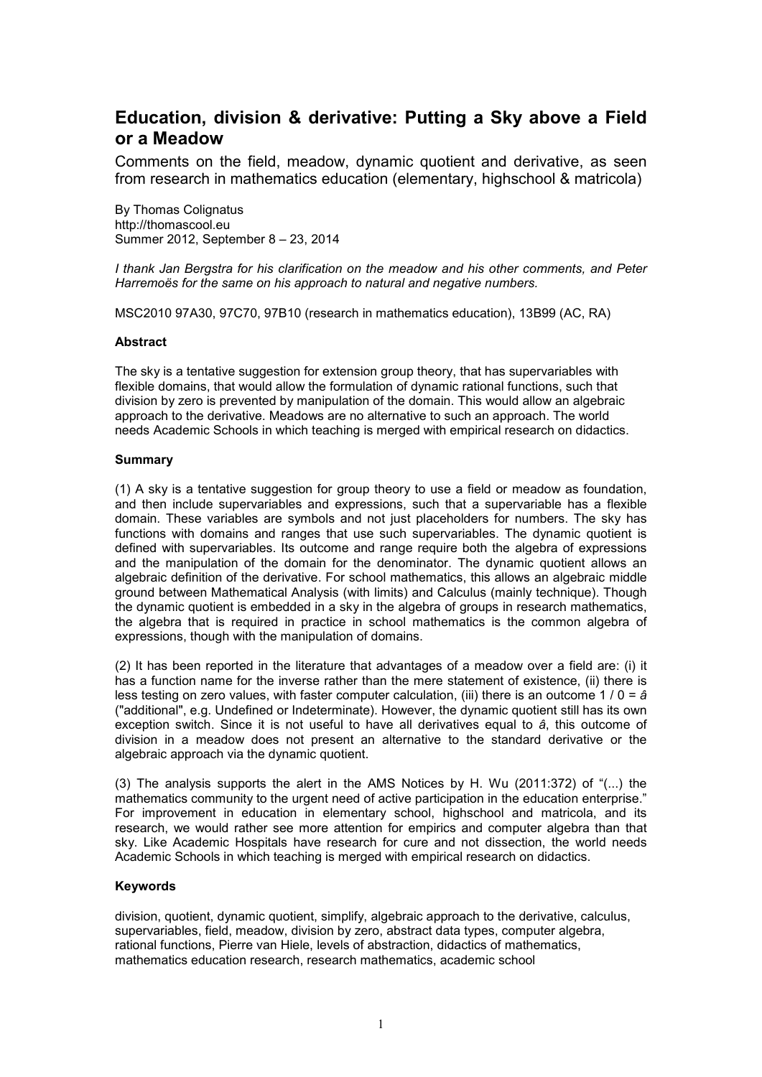# **Education, division & derivative: Putting a Sky above a Field or a Meadow**

Comments on the field, meadow, dynamic quotient and derivative, as seen from research in mathematics education (elementary, highschool & matricola)

By Thomas Colignatus http://thomascool.eu Summer 2012, September 8 – 23, 2014

*I thank Jan Bergstra for his clarification on the meadow and his other comments, and Peter Harremoës for the same on his approach to natural and negative numbers.*

MSC2010 97A30, 97C70, 97B10 (research in mathematics education), 13B99 (AC, RA)

#### **Abstract**

The sky is a tentative suggestion for extension group theory, that has supervariables with flexible domains, that would allow the formulation of dynamic rational functions, such that division by zero is prevented by manipulation of the domain. This would allow an algebraic approach to the derivative. Meadows are no alternative to such an approach. The world needs Academic Schools in which teaching is merged with empirical research on didactics.

#### **Summary**

(1) A sky is a tentative suggestion for group theory to use a field or meadow as foundation, and then include supervariables and expressions, such that a supervariable has a flexible domain. These variables are symbols and not just placeholders for numbers. The sky has functions with domains and ranges that use such supervariables. The dynamic quotient is defined with supervariables. Its outcome and range require both the algebra of expressions and the manipulation of the domain for the denominator. The dynamic quotient allows an algebraic definition of the derivative. For school mathematics, this allows an algebraic middle ground between Mathematical Analysis (with limits) and Calculus (mainly technique). Though the dynamic quotient is embedded in a sky in the algebra of groups in research mathematics, the algebra that is required in practice in school mathematics is the common algebra of expressions, though with the manipulation of domains.

(2) It has been reported in the literature that advantages of a meadow over a field are: (i) it has a function name for the inverse rather than the mere statement of existence, (ii) there is less testing on zero values, with faster computer calculation, (iii) there is an outcome 1 / 0 = *â* ("additional", e.g. Undefined or Indeterminate). However, the dynamic quotient still has its own exception switch. Since it is not useful to have all derivatives equal to *â*, this outcome of division in a meadow does not present an alternative to the standard derivative or the algebraic approach via the dynamic quotient.

(3) The analysis supports the alert in the AMS Notices by H. Wu (2011:372) of "(...) the mathematics community to the urgent need of active participation in the education enterprise." For improvement in education in elementary school, highschool and matricola, and its research, we would rather see more attention for empirics and computer algebra than that sky. Like Academic Hospitals have research for cure and not dissection, the world needs Academic Schools in which teaching is merged with empirical research on didactics.

### **Keywords**

division, quotient, dynamic quotient, simplify, algebraic approach to the derivative, calculus, supervariables, field, meadow, division by zero, abstract data types, computer algebra, rational functions, Pierre van Hiele, levels of abstraction, didactics of mathematics, mathematics education research, research mathematics, academic school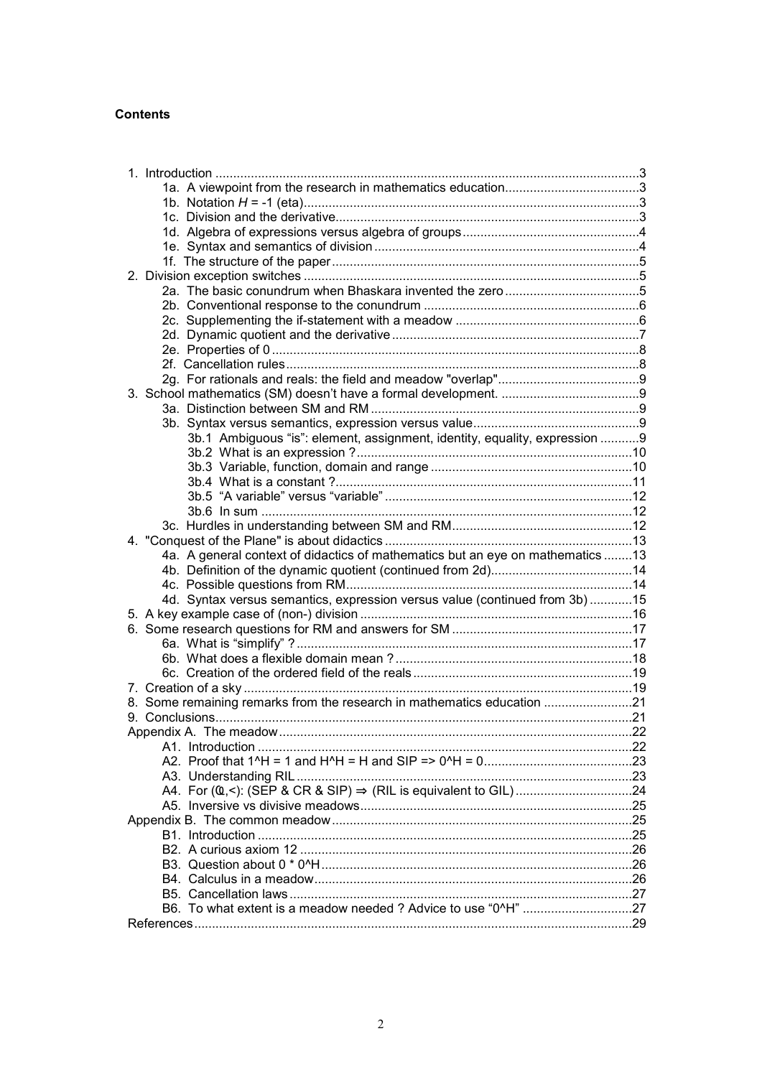## **Contents**

| 2a. The basic conundrum when Bhaskara invented the zero5                       |  |
|--------------------------------------------------------------------------------|--|
|                                                                                |  |
|                                                                                |  |
|                                                                                |  |
|                                                                                |  |
|                                                                                |  |
|                                                                                |  |
|                                                                                |  |
|                                                                                |  |
|                                                                                |  |
| 3b.1 Ambiguous "is": element, assignment, identity, equality, expression 9     |  |
|                                                                                |  |
|                                                                                |  |
|                                                                                |  |
|                                                                                |  |
|                                                                                |  |
|                                                                                |  |
|                                                                                |  |
| 4a. A general context of didactics of mathematics but an eye on mathematics 13 |  |
|                                                                                |  |
|                                                                                |  |
| 4d. Syntax versus semantics, expression versus value (continued from 3b) 15    |  |
|                                                                                |  |
|                                                                                |  |
|                                                                                |  |
|                                                                                |  |
|                                                                                |  |
|                                                                                |  |
| 8. Some remaining remarks from the research in mathematics education 21        |  |
|                                                                                |  |
|                                                                                |  |
|                                                                                |  |
|                                                                                |  |
|                                                                                |  |
|                                                                                |  |
|                                                                                |  |
|                                                                                |  |
|                                                                                |  |
|                                                                                |  |
|                                                                                |  |
|                                                                                |  |
|                                                                                |  |
|                                                                                |  |
|                                                                                |  |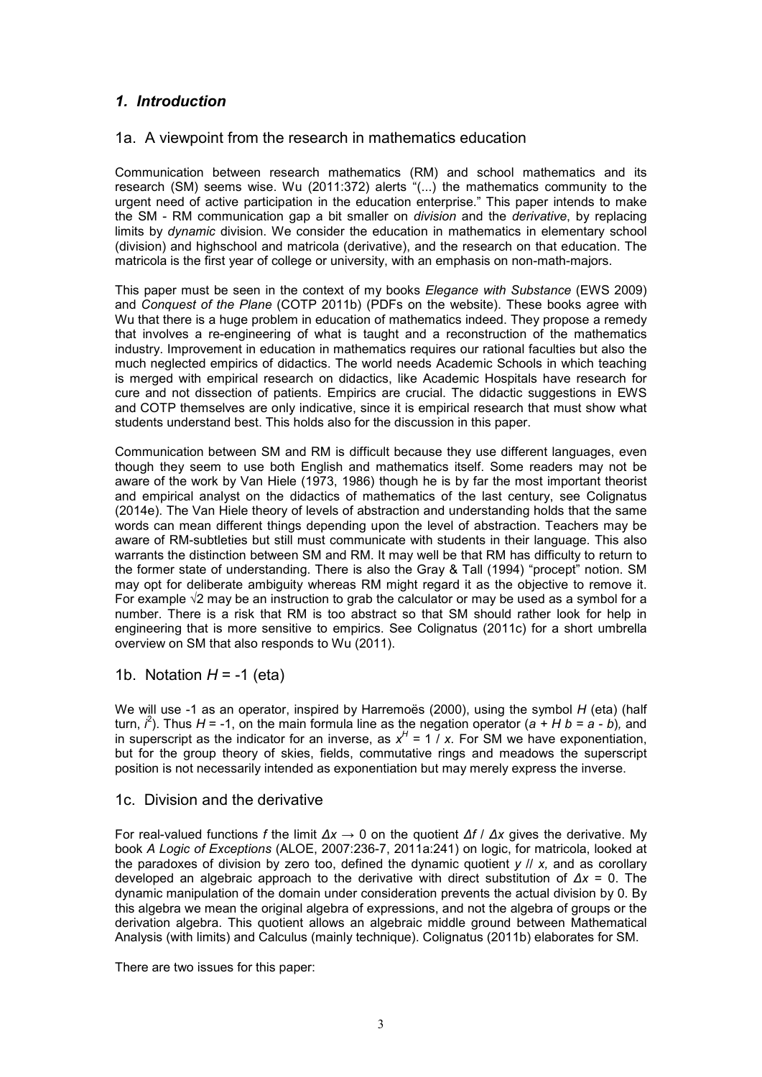## *1. Introduction*

## 1a. A viewpoint from the research in mathematics education

Communication between research mathematics (RM) and school mathematics and its research (SM) seems wise. Wu (2011:372) alerts "(...) the mathematics community to the urgent need of active participation in the education enterprise." This paper intends to make the SM - RM communication gap a bit smaller on *division* and the *derivative*, by replacing limits by *dynamic* division. We consider the education in mathematics in elementary school (division) and highschool and matricola (derivative), and the research on that education. The matricola is the first year of college or university, with an emphasis on non-math-majors.

This paper must be seen in the context of my books *Elegance with Substance* (EWS 2009) and *Conquest of the Plane* (COTP 2011b) (PDFs on the website). These books agree with Wu that there is a huge problem in education of mathematics indeed. They propose a remedy that involves a re-engineering of what is taught and a reconstruction of the mathematics industry. Improvement in education in mathematics requires our rational faculties but also the much neglected empirics of didactics. The world needs Academic Schools in which teaching is merged with empirical research on didactics, like Academic Hospitals have research for cure and not dissection of patients. Empirics are crucial. The didactic suggestions in EWS and COTP themselves are only indicative, since it is empirical research that must show what students understand best. This holds also for the discussion in this paper.

Communication between SM and RM is difficult because they use different languages, even though they seem to use both English and mathematics itself. Some readers may not be aware of the work by Van Hiele (1973, 1986) though he is by far the most important theorist and empirical analyst on the didactics of mathematics of the last century, see Colignatus (2014e). The Van Hiele theory of levels of abstraction and understanding holds that the same words can mean different things depending upon the level of abstraction. Teachers may be aware of RM-subtleties but still must communicate with students in their language. This also warrants the distinction between SM and RM. It may well be that RM has difficulty to return to the former state of understanding. There is also the Gray & Tall (1994) "procept" notion. SM may opt for deliberate ambiguity whereas RM might regard it as the objective to remove it. For example  $\sqrt{2}$  may be an instruction to grab the calculator or may be used as a symbol for a number. There is a risk that RM is too abstract so that SM should rather look for help in engineering that is more sensitive to empirics. See Colignatus (2011c) for a short umbrella overview on SM that also responds to Wu (2011).

1b. Notation *H* = -1 (eta)

We will use -1 as an operator, inspired by Harremoës (2000), using the symbol *H* (eta) (half turn, *i* 2 ). Thus *H* = -1, on the main formula line as the negation operator (*a + H b = a - b*)*,* and in superscript as the indicator for an inverse, as  $x^H = 1$  / x. For SM we have exponentiation, but for the group theory of skies, fields, commutative rings and meadows the superscript position is not necessarily intended as exponentiation but may merely express the inverse.

## 1c. Division and the derivative

For real-valued functions *f* the limit *∆x* → 0 on the quotient *∆f* / *∆x* gives the derivative. My book *A Logic of Exceptions* (ALOE, 2007:236-7, 2011a:241) on logic, for matricola, looked at the paradoxes of division by zero too, defined the dynamic quotient *y* // *x,* and as corollary developed an algebraic approach to the derivative with direct substitution of *∆x* = 0. The dynamic manipulation of the domain under consideration prevents the actual division by 0. By this algebra we mean the original algebra of expressions, and not the algebra of groups or the derivation algebra. This quotient allows an algebraic middle ground between Mathematical Analysis (with limits) and Calculus (mainly technique). Colignatus (2011b) elaborates for SM.

There are two issues for this paper: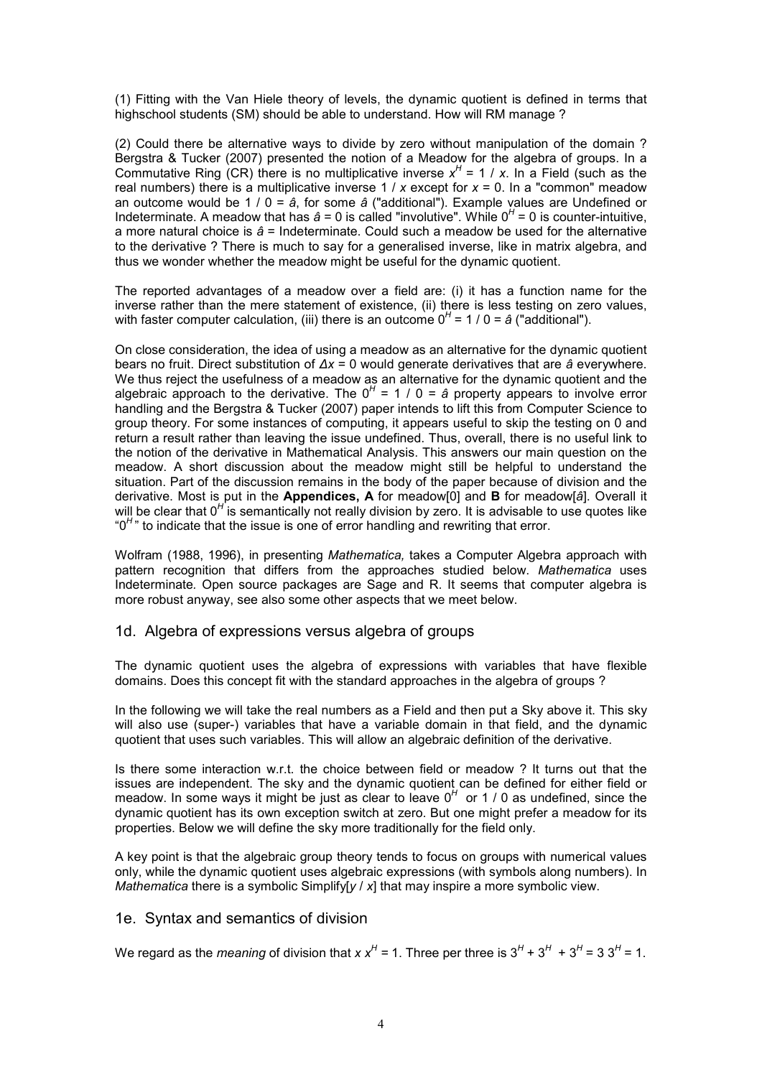(1) Fitting with the Van Hiele theory of levels, the dynamic quotient is defined in terms that highschool students (SM) should be able to understand. How will RM manage ?

(2) Could there be alternative ways to divide by zero without manipulation of the domain ? Bergstra & Tucker (2007) presented the notion of a Meadow for the algebra of groups. In a Commutative Ring (CR) there is no multiplicative inverse  $x^H = 1 / x$ . In a Field (such as the real numbers) there is a multiplicative inverse 1 / *x* except for *x* = 0. In a "common" meadow an outcome would be 1 / 0 = *â*, for some *â* ("additional"). Example values are Undefined or Indeterminate. A meadow that has  $\hat{a} = 0$  is called "involutive". While  $0^H = 0$  is counter-intuitive, a more natural choice is *â* = Indeterminate. Could such a meadow be used for the alternative to the derivative ? There is much to say for a generalised inverse, like in matrix algebra, and thus we wonder whether the meadow might be useful for the dynamic quotient.

The reported advantages of a meadow over a field are: (i) it has a function name for the inverse rather than the mere statement of existence, (ii) there is less testing on zero values, with faster computer calculation, (iii) there is an outcome 0<sup>H</sup> = 1 / 0 = *â* ("additional").

On close consideration, the idea of using a meadow as an alternative for the dynamic quotient bears no fruit. Direct substitution of *∆x* = 0 would generate derivatives that are *â* everywhere. We thus reject the usefulness of a meadow as an alternative for the dynamic quotient and the algebraic approach to the derivative. The 0*<sup>H</sup>* = 1 / 0 = *â* property appears to involve error handling and the Bergstra & Tucker (2007) paper intends to lift this from Computer Science to group theory. For some instances of computing, it appears useful to skip the testing on 0 and return a result rather than leaving the issue undefined. Thus, overall, there is no useful link to the notion of the derivative in Mathematical Analysis. This answers our main question on the meadow. A short discussion about the meadow might still be helpful to understand the situation. Part of the discussion remains in the body of the paper because of division and the derivative. Most is put in the **Appendices, A** for meadow[0] and **B** for meadow[*â*]. Overall it will be clear that 0<sup>H</sup> is semantically not really division by zero. It is advisable to use quotes like "0<sup>*H*</sup>" to indicate that the issue is one of error handling and rewriting that error.

Wolfram (1988, 1996), in presenting *Mathematica,* takes a Computer Algebra approach with pattern recognition that differs from the approaches studied below. *Mathematica* uses Indeterminate*.* Open source packages are Sage and R. It seems that computer algebra is more robust anyway, see also some other aspects that we meet below.

## 1d. Algebra of expressions versus algebra of groups

The dynamic quotient uses the algebra of expressions with variables that have flexible domains. Does this concept fit with the standard approaches in the algebra of groups ?

In the following we will take the real numbers as a Field and then put a Sky above it. This sky will also use (super-) variables that have a variable domain in that field, and the dynamic quotient that uses such variables. This will allow an algebraic definition of the derivative.

Is there some interaction w.r.t. the choice between field or meadow ? It turns out that the issues are independent. The sky and the dynamic quotient can be defined for either field or meadow. In some ways it might be just as clear to leave 0<sup>H</sup> or 1 / 0 as undefined, since the dynamic quotient has its own exception switch at zero. But one might prefer a meadow for its properties. Below we will define the sky more traditionally for the field only.

A key point is that the algebraic group theory tends to focus on groups with numerical values only, while the dynamic quotient uses algebraic expressions (with symbols along numbers). In *Mathematica* there is a symbolic Simplify[*y* / *x*] that may inspire a more symbolic view.

### 1e. Syntax and semantics of division

We regard as the *meaning* of division that *x*  $x^H$  = 1. Three per three is 3<sup>H</sup> + 3<sup>H</sup> + 3<sup>H</sup> = 3 3<sup>H</sup> = 1.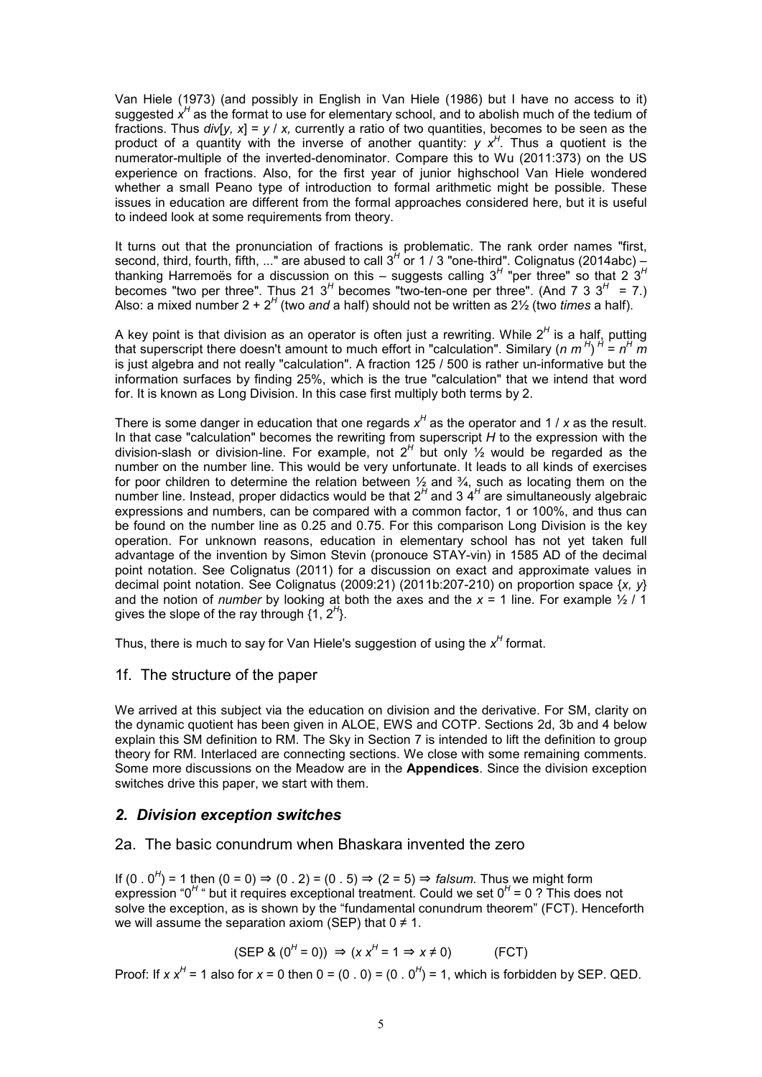Van Hiele (1973) (and possibly in English in Van Hiele (1986) but I have no access to it) suggested x<sup>H</sup> as the format to use for elementary school, and to abolish much of the tedium of fractions. Thus  $div[V, x] = v / x$ , currently a ratio of two quantities, becomes to be seen as the product of a quantity with the inverse of another quantity: *y x<sup>H</sup>* . Thus a quotient is the numerator-multiple of the inverted-denominator. Compare this to Wu (2011:373) on the US experience on fractions. Also, for the first year of junior highschool Van Hiele wondered whether a small Peano type of introduction to formal arithmetic might be possible. These issues in education are different from the formal approaches considered here, but it is useful to indeed look at some requirements from theory.

It turns out that the pronunciation of fractions is problematic. The rank order names "first, second, third, fourth, fifth, ..." are abused to call 3<sup>H</sup> or 1 / 3 "one-third". Colignatus (2014abc) – thanking Harremoës for a discussion on this – suggests calling 3*<sup>H</sup>* "per three" so that 2 3*<sup>H</sup>* becomes "two per three". Thus 21 3<sup>H</sup> becomes "two-ten-one per three". (And 7 3 3<sup>H</sup> = 7.) Also: a mixed number 2 + 2<sup>H</sup> (two and a half) should not be written as 2½ (two *times* a half).

A key point is that division as an operator is often just a rewriting. While 2*<sup>H</sup>* is a half, putting that superscript there doesn't amount to much effort in "calculation". Similary (*n m*<sup>H</sup>)<sup>H</sup> = n<sup>H</sup> m is just algebra and not really "calculation". A fraction 125 / 500 is rather un-informative but the information surfaces by finding 25%, which is the true "calculation" that we intend that word for. It is known as Long Division. In this case first multiply both terms by 2.

There is some danger in education that one regards x<sup>H</sup> as the operator and 1 / x as the result. In that case "calculation" becomes the rewriting from superscript *H* to the expression with the division-slash or division-line. For example, not 2*<sup>H</sup>* but only ½ would be regarded as the number on the number line. This would be very unfortunate. It leads to all kinds of exercises for poor children to determine the relation between  $\frac{1}{2}$  and  $\frac{3}{4}$ , such as locating them on the number line. Instead, proper didactics would be that 2<sup>H</sup> and 3 4<sup>H</sup> are simultaneously algebraic expressions and numbers, can be compared with a common factor, 1 or 100%, and thus can be found on the number line as 0.25 and 0.75. For this comparison Long Division is the key operation. For unknown reasons, education in elementary school has not yet taken full advantage of the invention by Simon Stevin (pronouce STAY-vin) in 1585 AD of the decimal point notation. See Colignatus (2011) for a discussion on exact and approximate values in decimal point notation. See Colignatus (2009:21) (2011b:207-210) on proportion space {*x, y*} and the notion of *number* by looking at both the axes and the  $x = 1$  line. For example  $\frac{1}{2}$  / 1 gives the slope of the ray through {1, 2*<sup>H</sup>* }.

Thus, there is much to say for Van Hiele's suggestion of using the x<sup>H</sup> format.

### 1f. The structure of the paper

We arrived at this subject via the education on division and the derivative. For SM, clarity on the dynamic quotient has been given in ALOE, EWS and COTP. Sections 2d, 3b and 4 below explain this SM definition to RM. The Sky in Section 7 is intended to lift the definition to group theory for RM. Interlaced are connecting sections. We close with some remaining comments. Some more discussions on the Meadow are in the **Appendices**. Since the division exception switches drive this paper, we start with them.

### *2. Division exception switches*

### 2a. The basic conundrum when Bhaskara invented the zero

If  $(0 \cdot 0^H)$  = 1 then  $(0 = 0) \Rightarrow (0 \cdot 2) = (0 \cdot 5) \Rightarrow (2 = 5) \Rightarrow$  *falsum.* Thus we might form expression "0<sup>H</sup> " but it requires exceptional treatment. Could we set 0<sup>H</sup> = 0 ? This does not solve the exception, as is shown by the "fundamental conundrum theorem" (FCT). Henceforth we will assume the separation axiom (SEP) that  $0 \neq 1$ .

$$
(\text{SEP } 8 \ (0^H = 0)) \Rightarrow (x \ x^H = 1 \Rightarrow x \neq 0) \tag{FCT}
$$

Proof: If *x*  $x^H$  = 1 also for  $x$  = 0 then 0 = (0 . 0) = (0 . 0<sup>H</sup>) = 1, which is forbidden by SEP. QED.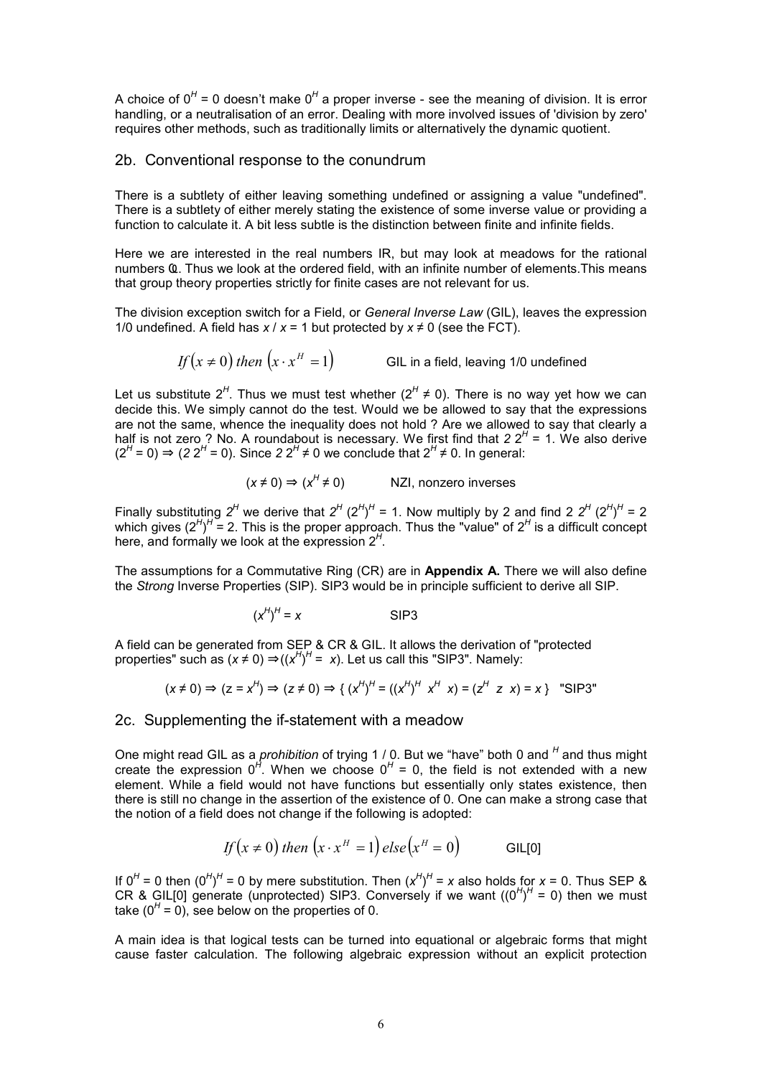A choice of 0<sup>H</sup> = 0 doesn't make 0<sup>H</sup> a proper inverse - see the meaning of division. It is error handling, or a neutralisation of an error. Dealing with more involved issues of 'division by zero' requires other methods, such as traditionally limits or alternatively the dynamic quotient.

### 2b. Conventional response to the conundrum

There is a subtlety of either leaving something undefined or assigning a value "undefined". There is a subtlety of either merely stating the existence of some inverse value or providing a function to calculate it. A bit less subtle is the distinction between finite and infinite fields.

Here we are interested in the real numbers IR, but may look at meadows for the rational numbers Ҩ. Thus we look at the ordered field, with an infinite number of elements.This means that group theory properties strictly for finite cases are not relevant for us.

The division exception switch for a Field, or *General Inverse Law* (GIL), leaves the expression 1/0 undefined. A field has  $x / x = 1$  but protected by  $x \ne 0$  (see the FCT).

 $\iint (x \neq 0)$  *then*  $\left( x \cdot x^H = 1 \right)$  GIL in a field, leaving 1/0 undefined

Let us substitute  $2^H$ . Thus we must test whether ( $2^H \neq 0$ ). There is no way yet how we can decide this. We simply cannot do the test. Would we be allowed to say that the expressions are not the same, whence the inequality does not hold ? Are we allowed to say that clearly a half is not zero ? No. A roundabout is necessary. We first find that  $22<sup>H</sup> = 1$ . We also derive  $(2<sup>H</sup> = 0)$  ⇒  $(2 2<sup>H</sup> = 0)$ . Since 2  $2<sup>H</sup> ≠ 0$  we conclude that  $2<sup>H</sup> ≠ 0$ . In general:

$$
(x \neq 0) \Rightarrow (x^H \neq 0)
$$
 NZI, nonzero inverses

Finally substituting  $2^H$  we derive that  $2^H (2^H)^H = 1$ . Now multiply by 2 and find 2  $2^H (2^H)^H = 2$ which gives (2<sup>H</sup>)<sup>H</sup> = 2. This is the proper approach. Thus the "value" of 2<sup>H</sup> is a difficult concept here, and formally we look at the expression 2*<sup>H</sup>* .

The assumptions for a Commutative Ring (CR) are in **Appendix A.** There we will also define the *Strong* Inverse Properties (SIP). SIP3 would be in principle sufficient to derive all SIP.

$$
(x^H)^H = x
$$
 SIP3

A field can be generated from SEP & CR & GIL. It allows the derivation of "protected properties" such as  $(x \neq 0) \Rightarrow ((x^H)^H = x)$ . Let us call this "SIP3". Namely:

$$
(x \neq 0) \Rightarrow (z = x^H) \Rightarrow (z \neq 0) \Rightarrow \{ (x^H)^H = ((x^H)^H x^H x) = (z^H z x) = x \} \text{ "SIP3"}
$$

### 2c. Supplementing the if-statement with a meadow

One might read GIL as a *prohibition* of trying 1 / 0. But we "have" both 0 and <sup>H</sup> and thus might create the expression  $0^H$ . When we choose  $0^H = 0$ , the field is not extended with a new element. While a field would not have functions but essentially only states existence, then there is still no change in the assertion of the existence of 0. One can make a strong case that the notion of a field does not change if the following is adopted:

$$
If(x \neq 0) then (x \cdot x^H = 1) else (x^H = 0)
$$

If  $0^H$  = 0 then  $(0^H)^H$  = 0 by mere substitution. Then  $(x^H)^H$  = *x* also holds for *x* = 0. Thus SEP & CR & GIL[0] generate (unprotected) SIP3. Conversely if we want  $((0^H)^H = 0)$  then we must take  $(0^H = 0)$ , see below on the properties of 0.

A main idea is that logical tests can be turned into equational or algebraic forms that might cause faster calculation. The following algebraic expression without an explicit protection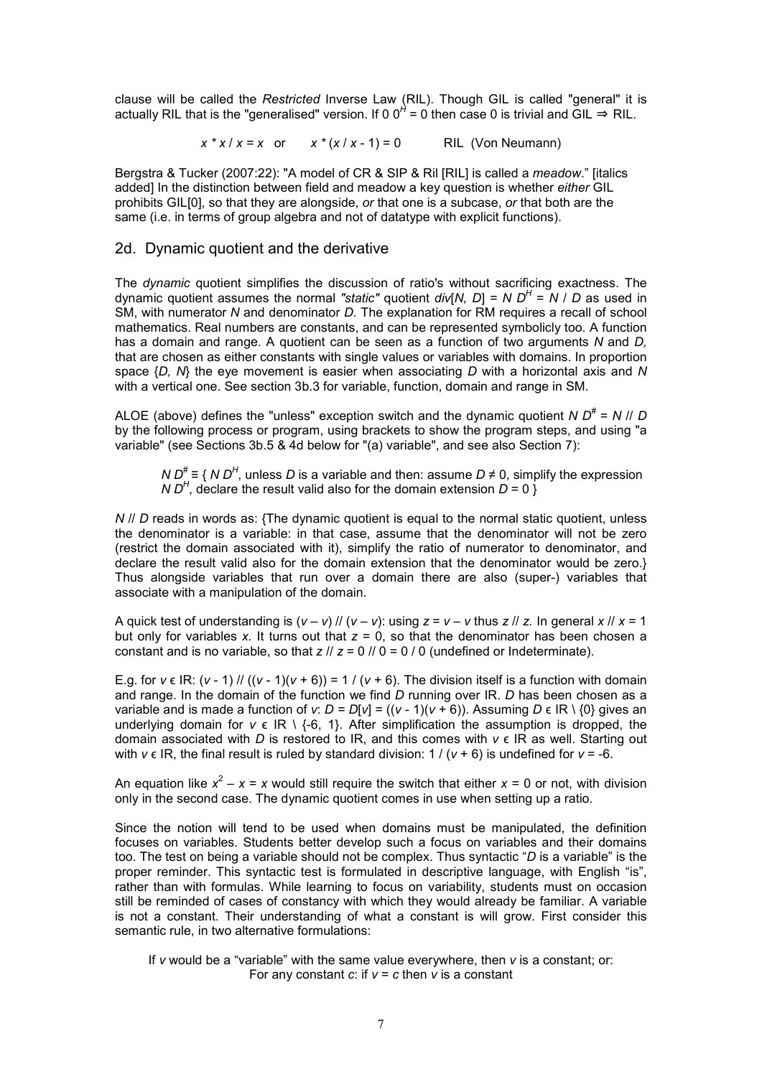clause will be called the *Restricted* Inverse Law (RIL). Though GIL is called "general" it is actually RIL that is the "generalised" version. If 0 0<sup>*H*</sup> = 0 then case 0 is trivial and GIL ⇒ RIL.

 $x * x / x = x$  or  $x * (x / x - 1) = 0$  RIL (Von Neumann)

Bergstra & Tucker (2007:22): "A model of CR & SIP & Ril [RIL] is called a *meadow*." [italics added] In the distinction between field and meadow a key question is whether *either* GIL prohibits GIL[0], so that they are alongside, *or* that one is a subcase, *or* that both are the same (i.e. in terms of group algebra and not of datatype with explicit functions).

### 2d. Dynamic quotient and the derivative

The *dynamic* quotient simplifies the discussion of ratio's without sacrificing exactness. The dynamic quotient assumes the normal *"static"* quotient *div*[*N, D*] = *N D<sup>H</sup>* = *N* / *D* as used in SM, with numerator *N* and denominator *D.* The explanation for RM requires a recall of school mathematics. Real numbers are constants, and can be represented symbolicly too. A function has a domain and range. A quotient can be seen as a function of two arguments *N* and *D,* that are chosen as either constants with single values or variables with domains. In proportion space {*D, N*} the eye movement is easier when associating *D* with a horizontal axis and *N* with a vertical one. See section 3b.3 for variable, function, domain and range in SM.

ALOE (above) defines the "unless" exception switch and the dynamic quotient *N D#* = *N* // *D* by the following process or program, using brackets to show the program steps, and using "a variable" (see Sections 3b.5 & 4d below for "(a) variable", and see also Section 7):

*N D<sup>#</sup>* ≡ { *N D<sup>H</sup>*, unless *D* is a variable and then: assume *D* ≠ 0, simplify the expression *N D<sup>H</sup>*, declare the result valid also for the domain extension  $D = 0$  }

*N // D* reads in words as: {The dynamic quotient is equal to the normal static quotient, unless the denominator is a variable: in that case, assume that the denominator will not be zero (restrict the domain associated with it), simplify the ratio of numerator to denominator, and declare the result valid also for the domain extension that the denominator would be zero.} Thus alongside variables that run over a domain there are also (super-) variables that associate with a manipulation of the domain.

A quick test of understanding is  $(v - v)$  //  $(v - v)$ : using  $z = v - v$  thus  $z$  //  $z$ . In general  $x$  //  $x = 1$ but only for variables *x.* It turns out that *z* = 0, so that the denominator has been chosen a constant and is no variable, so that  $z / \frac{z}{z} = 0 / \frac{0}{z} = 0 / 0$  (undefined or Indeterminate).

E.g. for  $v \in \mathsf{IR}$ :  $(v - 1)$  //  $((v - 1)(v + 6)) = 1$  /  $(v + 6)$ . The division itself is a function with domain and range. In the domain of the function we find *D* running over IR. *D* has been chosen as a variable and is made a function of *v*:  $D = D[v] = ((v - 1)(v + 6))$ . Assuming  $D \in \mathbb{R} \setminus \{0\}$  gives an underlying domain for  $v \in \mathbb{R} \setminus \{-6, 1\}$ . After simplification the assumption is dropped, the domain associated with *D* is restored to IR, and this comes with *v* ϵ IR as well. Starting out with  $v \in \mathbb{R}$ , the final result is ruled by standard division:  $1/(v + 6)$  is undefined for  $v = -6$ .

An equation like  $x^2 - x = x$  would still require the switch that either  $x = 0$  or not, with division only in the second case. The dynamic quotient comes in use when setting up a ratio.

Since the notion will tend to be used when domains must be manipulated, the definition focuses on variables. Students better develop such a focus on variables and their domains too. The test on being a variable should not be complex. Thus syntactic "*D* is a variable" is the proper reminder. This syntactic test is formulated in descriptive language, with English "is", rather than with formulas. While learning to focus on variability, students must on occasion still be reminded of cases of constancy with which they would already be familiar. A variable is not a constant. Their understanding of what a constant is will grow. First consider this semantic rule, in two alternative formulations:

If *v* would be a "variable" with the same value everywhere, then *v* is a constant; or: For any constant *c*: if *v* = *c* then *v* is a constant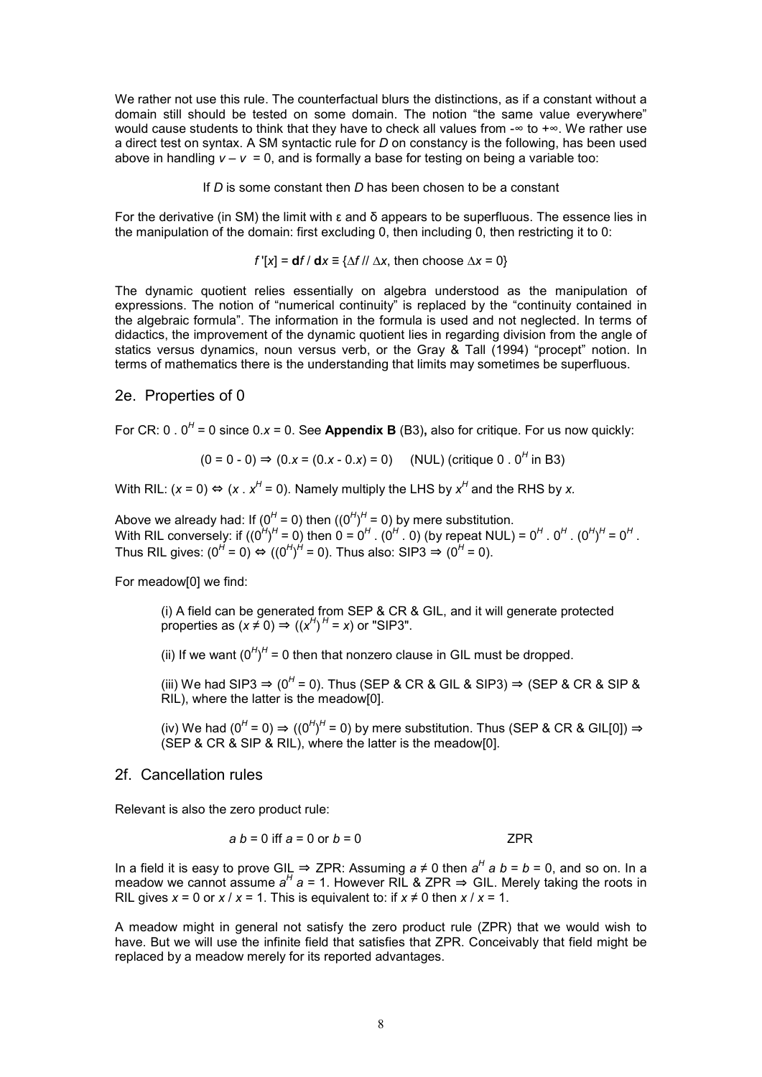We rather not use this rule. The counterfactual blurs the distinctions, as if a constant without a domain still should be tested on some domain. The notion "the same value everywhere" would cause students to think that they have to check all values from -∞ to +∞. We rather use a direct test on syntax. A SM syntactic rule for *D* on constancy is the following, has been used above in handling  $v - v = 0$ , and is formally a base for testing on being a variable too:

If *D* is some constant then *D* has been chosen to be a constant

For the derivative (in SM) the limit with ε and δ appears to be superfluous. The essence lies in the manipulation of the domain: first excluding 0, then including 0, then restricting it to 0:

 $f'[x] = df / dx \equiv \{\Delta f / \Delta x, \text{ then choose } \Delta x = 0\}$ 

The dynamic quotient relies essentially on algebra understood as the manipulation of expressions. The notion of "numerical continuity" is replaced by the "continuity contained in the algebraic formula". The information in the formula is used and not neglected. In terms of didactics, the improvement of the dynamic quotient lies in regarding division from the angle of statics versus dynamics, noun versus verb, or the Gray & Tall (1994) "procept" notion. In terms of mathematics there is the understanding that limits may sometimes be superfluous.

### 2e. Properties of 0

For CR: 0 . 0*<sup>H</sup>* = 0 since 0.*x* = 0. See **Appendix B** (B3)**,** also for critique. For us now quickly:

$$
(0 = 0 - 0) \Rightarrow (0.x = (0.x - 0.x) = 0)
$$
 (NULL) (critique 0. 0<sup>H</sup> in B3)

With RIL:  $(x = 0) \Leftrightarrow (x \cdot x^H = 0)$ . Namely multiply the LHS by  $x^H$  and the RHS by x.

Above we already had: If (0<sup>H</sup> = 0) then ((0<sup>H</sup>)<sup>H</sup> = 0) by mere substitution. With RIL conversely: if ((0<sup>H</sup>)<sup>H</sup> = 0) then 0 = 0<sup>H</sup> . (0<sup>H</sup> . 0) (by repeat NUL) = 0<sup>H</sup> . 0<sup>H</sup> . (0<sup>H</sup>)<sup>H</sup> = 0<sup>H</sup> . Thus RIL gives: (0<sup>*H*</sup> = 0) ⇔ ((0<sup>*H*</sup>)<sup>*H*</sup> = 0). Thus also: SIP3 ⇒ (0<sup>*H*</sup> = 0).

For meadow[0] we find:

(i) A field can be generated from SEP & CR & GIL, and it will generate protected properties as  $(x \neq 0) \Rightarrow ((x^H)^H = x)$  or "SIP3".

(ii) If we want  $(0^H)^H = 0$  then that nonzero clause in GIL must be dropped.

(iii) We had SIP3  $\Rightarrow$  (0<sup>H</sup> = 0). Thus (SEP & CR & GIL & SIP3)  $\Rightarrow$  (SEP & CR & SIP & RIL), where the latter is the meadow[0].

(iv) We had (0<sup>H</sup> = 0)  $\Rightarrow$  ((0<sup>H</sup>)<sup>H</sup> = 0) by mere substitution. Thus (SEP & CR & GIL[0])  $\Rightarrow$ (SEP & CR & SIP & RIL), where the latter is the meadow[0].

### 2f. Cancellation rules

Relevant is also the zero product rule:

$$
a b = 0
$$
 iff  $a = 0$  or  $b = 0$ 

In a field it is easy to prove GIL  $\Rightarrow$  ZPR: Assuming *a* ≠ 0 then *a*<sup>*H*</sup> *a b* = *b* = 0, and so on. In a meadow we cannot assume  $a^H$  a = 1. However RIL & ZPR ⇒ GIL. Merely taking the roots in RIL gives  $x = 0$  or  $x / x = 1$ . This is equivalent to: if  $x \neq 0$  then  $x / x = 1$ .

A meadow might in general not satisfy the zero product rule (ZPR) that we would wish to have. But we will use the infinite field that satisfies that ZPR. Conceivably that field might be replaced by a meadow merely for its reported advantages.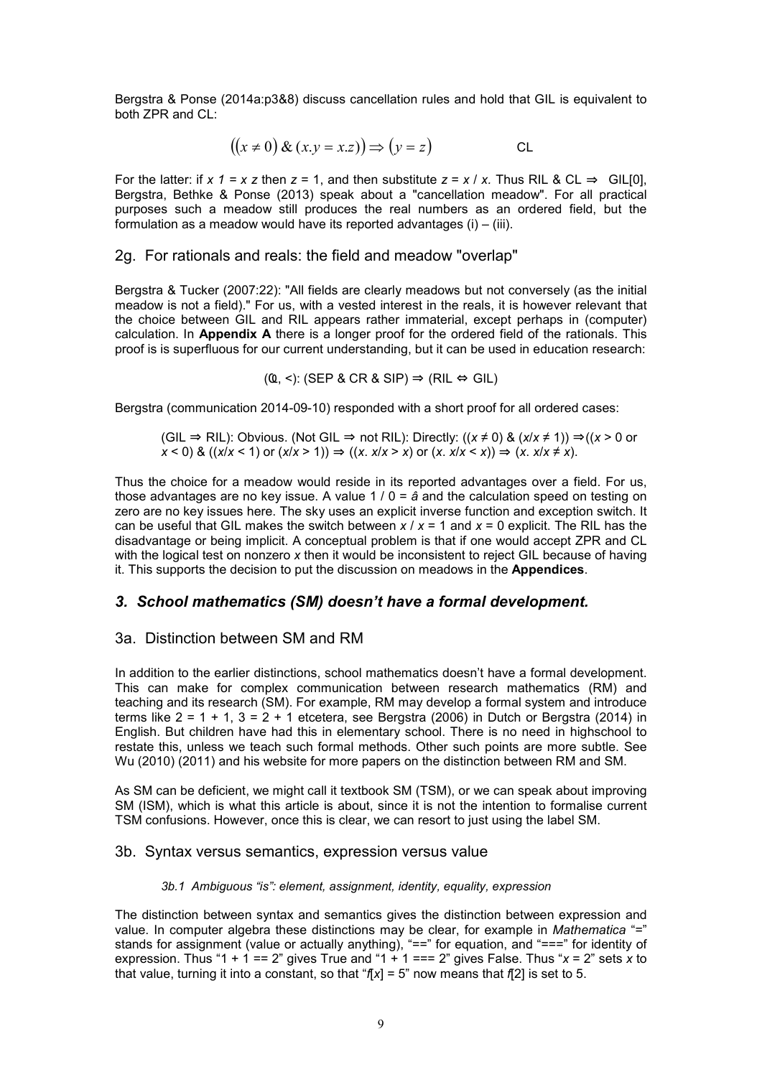Bergstra & Ponse (2014a:p3&8) discuss cancellation rules and hold that GIL is equivalent to both ZPR and CL:

$$
((x \neq 0) \& (x.y = x.z)) \Rightarrow (y = z)
$$
CL

For the latter: if  $x$  1 =  $x$  z then  $z$  = 1, and then substitute  $z = x / x$ . Thus RIL & CL  $\Rightarrow$  GIL[0], Bergstra, Bethke & Ponse (2013) speak about a "cancellation meadow". For all practical purposes such a meadow still produces the real numbers as an ordered field, but the formulation as a meadow would have its reported advantages (i) – (iii).

### 2g. For rationals and reals: the field and meadow "overlap"

Bergstra & Tucker (2007:22): "All fields are clearly meadows but not conversely (as the initial meadow is not a field)." For us, with a vested interest in the reals, it is however relevant that the choice between GIL and RIL appears rather immaterial, except perhaps in (computer) calculation. In **Appendix A** there is a longer proof for the ordered field of the rationals. This proof is is superfluous for our current understanding, but it can be used in education research:

 $(Q, \leq)$ : (SEP & CR & SIP)  $\Rightarrow$  (RIL  $\Leftrightarrow$  GIL)

Bergstra (communication 2014-09-10) responded with a short proof for all ordered cases:

(GIL ⇒ RIL): Obvious. (Not GIL ⇒ not RIL): Directly:  $((x \neq 0)$  &  $(x/x \neq 1))$  ⇒ $((x > 0$  or *x* < 0) & ((*x*/*x* < 1) or (*x*/*x* > 1)) ⇒ ((*x*. *x*/*x* > *x*) or (*x*. *x*/*x* < *x*)) ⇒ (*x*. *x*/*x* ≠ *x*).

Thus the choice for a meadow would reside in its reported advantages over a field. For us, those advantages are no key issue. A value 1 / 0 = *â* and the calculation speed on testing on zero are no key issues here. The sky uses an explicit inverse function and exception switch. It can be useful that GIL makes the switch between *x* / *x* = 1 and *x* = 0 explicit. The RIL has the disadvantage or being implicit. A conceptual problem is that if one would accept ZPR and CL with the logical test on nonzero *x* then it would be inconsistent to reject GIL because of having it. This supports the decision to put the discussion on meadows in the **Appendices**.

## *3. School mathematics (SM) doesn't have a formal development.*

## 3a. Distinction between SM and RM

In addition to the earlier distinctions, school mathematics doesn't have a formal development. This can make for complex communication between research mathematics (RM) and teaching and its research (SM). For example, RM may develop a formal system and introduce terms like  $2 = 1 + 1$ ,  $3 = 2 + 1$  etcetera, see Bergstra (2006) in Dutch or Bergstra (2014) in English. But children have had this in elementary school. There is no need in highschool to restate this, unless we teach such formal methods. Other such points are more subtle. See Wu (2010) (2011) and his website for more papers on the distinction between RM and SM.

As SM can be deficient, we might call it textbook SM (TSM), or we can speak about improving SM (ISM), which is what this article is about, since it is not the intention to formalise current TSM confusions. However, once this is clear, we can resort to just using the label SM.

### 3b. Syntax versus semantics, expression versus value

### *3b.1 Ambiguous "is": element, assignment, identity, equality, expression*

The distinction between syntax and semantics gives the distinction between expression and value. In computer algebra these distinctions may be clear, for example in *Mathematica* "=" stands for assignment (value or actually anything), "==" for equation, and "===" for identity of expression. Thus "1 + 1 == 2" gives True and "1 + 1 === 2" gives False. Thus "*x* = 2" sets *x* to that value, turning it into a constant, so that "*f*[*x*] = 5" now means that *f*[2] is set to 5.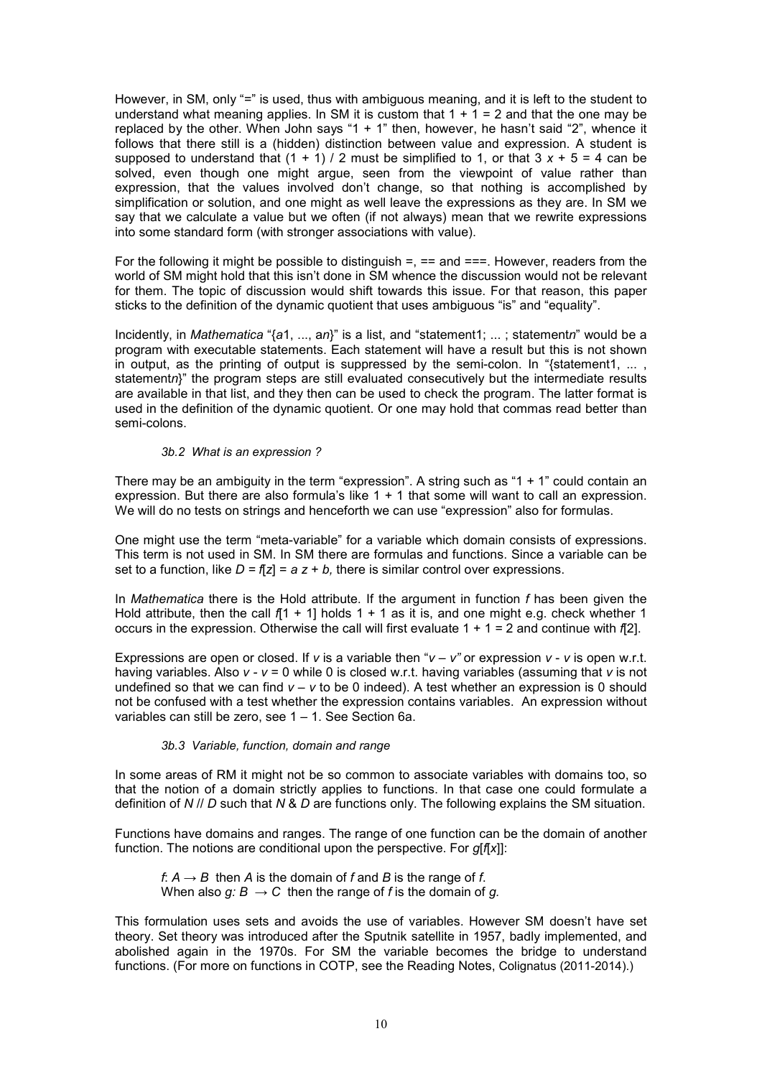However, in SM, only "=" is used, thus with ambiguous meaning, and it is left to the student to understand what meaning applies. In SM it is custom that  $1 + 1 = 2$  and that the one may be replaced by the other. When John says "1 + 1" then, however, he hasn't said "2", whence it follows that there still is a (hidden) distinction between value and expression. A student is supposed to understand that  $(1 + 1) / 2$  must be simplified to 1, or that  $3x + 5 = 4$  can be solved, even though one might argue, seen from the viewpoint of value rather than expression, that the values involved don't change, so that nothing is accomplished by simplification or solution, and one might as well leave the expressions as they are. In SM we say that we calculate a value but we often (if not always) mean that we rewrite expressions into some standard form (with stronger associations with value).

For the following it might be possible to distinguish  $=$ ,  $=$  and  $==$ . However, readers from the world of SM might hold that this isn't done in SM whence the discussion would not be relevant for them. The topic of discussion would shift towards this issue. For that reason, this paper sticks to the definition of the dynamic quotient that uses ambiguous "is" and "equality".

Incidently, in *Mathematica* "{*a*1, ..., a*n*}" is a list, and "statement1; ... ; statement*n*" would be a program with executable statements. Each statement will have a result but this is not shown in output, as the printing of output is suppressed by the semi-colon. In "{statement1, ..., statementn<sup>y</sup>" the program steps are still evaluated consecutively but the intermediate results are available in that list, and they then can be used to check the program. The latter format is used in the definition of the dynamic quotient. Or one may hold that commas read better than semi-colons.

#### *3b.2 What is an expression ?*

There may be an ambiguity in the term "expression". A string such as "1 + 1" could contain an expression. But there are also formula's like  $1 + 1$  that some will want to call an expression. We will do no tests on strings and henceforth we can use "expression" also for formulas.

One might use the term "meta-variable" for a variable which domain consists of expressions. This term is not used in SM. In SM there are formulas and functions. Since a variable can be set to a function, like *D = f*[*z*] = *a z* + *b,* there is similar control over expressions.

In *Mathematica* there is the Hold attribute. If the argument in function *f* has been given the Hold attribute, then the call  $f(1 + 1)$  holds  $1 + 1$  as it is, and one might e.g. check whether 1 occurs in the expression. Otherwise the call will first evaluate 1 + 1 = 2 and continue with *f*[2].

Expressions are open or closed. If *v* is a variable then "*v* – *v"* or expression *v* - *v* is open w.r.t. having variables. Also *v - v* = 0 while 0 is closed w.r.t. having variables (assuming that *v* is not undefined so that we can find  $v - v$  to be 0 indeed). A test whether an expression is 0 should not be confused with a test whether the expression contains variables. An expression without variables can still be zero, see 1 – 1. See Section 6a.

### *3b.3 Variable, function, domain and range*

In some areas of RM it might not be so common to associate variables with domains too, so that the notion of a domain strictly applies to functions. In that case one could formulate a definition of *N* // *D* such that *N* & *D* are functions only. The following explains the SM situation.

Functions have domains and ranges. The range of one function can be the domain of another function. The notions are conditional upon the perspective. For *g*[*f*[*x*]]:

*f*:  $A \rightarrow B$  then *A* is the domain of *f* and *B* is the range of *f*. When also  $q: B \to C$  then the range of *f* is the domain of  $q$ .

This formulation uses sets and avoids the use of variables. However SM doesn't have set theory. Set theory was introduced after the Sputnik satellite in 1957, badly implemented, and abolished again in the 1970s. For SM the variable becomes the bridge to understand functions. (For more on functions in COTP, see the Reading Notes, Colignatus (2011-2014).)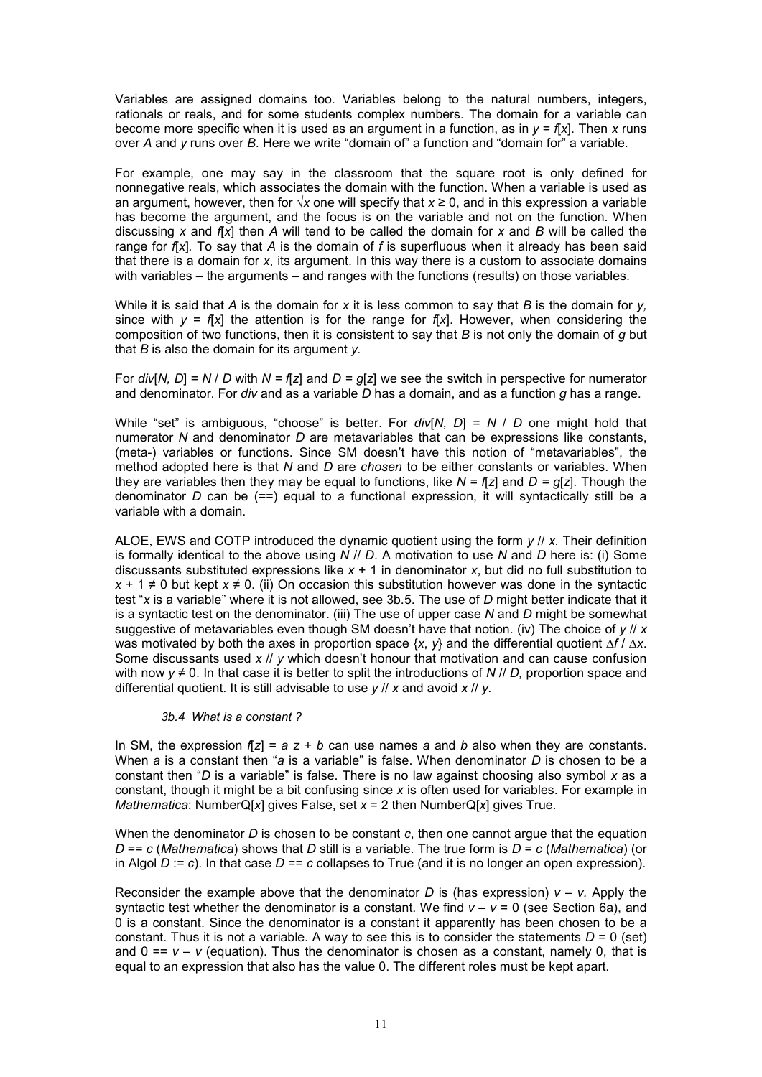Variables are assigned domains too. Variables belong to the natural numbers, integers, rationals or reals, and for some students complex numbers. The domain for a variable can become more specific when it is used as an argument in a function, as in  $y = f(x)$ . Then x runs over *A* and *y* runs over *B*. Here we write "domain of" a function and "domain for" a variable.

For example, one may say in the classroom that the square root is only defined for nonnegative reals, which associates the domain with the function. When a variable is used as an argument, however, then for √*x* one will specify that *x* ≥ 0, and in this expression a variable has become the argument, and the focus is on the variable and not on the function. When discussing *x* and *f*[*x*] then *A* will tend to be called the domain for *x* and *B* will be called the range for *f*[*x*]*.* To say that *A* is the domain of *f* is superfluous when it already has been said that there is a domain for *x*, its argument. In this way there is a custom to associate domains with variables – the arguments – and ranges with the functions (results) on those variables.

While it is said that *A* is the domain for *x* it is less common to say that *B* is the domain for *y,* since with  $v = f(x)$  the attention is for the range for  $f(x)$ . However, when considering the composition of two functions, then it is consistent to say that *B* is not only the domain of *g* but that *B* is also the domain for its argument *y.*

For *div*[*N, D*] = *N* / *D* with *N = f*[*z*] and *D = g*[*z*] we see the switch in perspective for numerator and denominator. For *div* and as a variable *D* has a domain, and as a function *g* has a range.

While "set" is ambiguous, "choose" is better. For *div*[*N, D*] = *N* / *D* one might hold that numerator *N* and denominator *D* are metavariables that can be expressions like constants, (meta-) variables or functions. Since SM doesn't have this notion of "metavariables", the method adopted here is that *N* and *D* are *chosen* to be either constants or variables. When they are variables then they may be equal to functions, like *N = f*[*z*] and *D = g*[*z*]. Though the denominator *D* can be (==) equal to a functional expression, it will syntactically still be a variable with a domain.

ALOE, EWS and COTP introduced the dynamic quotient using the form *y* // *x.* Their definition is formally identical to the above using *N* // *D*. A motivation to use *N* and *D* here is: (i) Some discussants substituted expressions like *x* + 1 in denominator *x*, but did no full substitution to *x* + 1 ≠ 0 but kept *x* ≠ 0. (ii) On occasion this substitution however was done in the syntactic test "*x* is a variable" where it is not allowed, see 3b.5. The use of *D* might better indicate that it is a syntactic test on the denominator. (iii) The use of upper case *N* and *D* might be somewhat suggestive of metavariables even though SM doesn't have that notion. (iv) The choice of *y* // *x* was motivated by both the axes in proportion space {*x*, *y*} and the differential quotient ∆*f* / ∆*x*. Some discussants used *x* // *y* which doesn't honour that motivation and can cause confusion with now *y* ≠ 0. In that case it is better to split the introductions of *N* // *D,* proportion space and differential quotient. It is still advisable to use *y* // *x* and avoid *x* // *y.*

#### *3b.4 What is a constant ?*

In SM, the expression *f*[*z*] = *a z* + *b* can use names *a* and *b* also when they are constants. When *a* is a constant then "*a* is a variable" is false. When denominator *D* is chosen to be a constant then "*D* is a variable" is false. There is no law against choosing also symbol *x* as a constant, though it might be a bit confusing since *x* is often used for variables. For example in *Mathematica*: NumberQ[*x*] gives False, set *x* = 2 then NumberQ[*x*] gives True.

When the denominator *D* is chosen to be constant *c*, then one cannot argue that the equation *D* == *c* (*Mathematica*) shows that *D* still is a variable. The true form is *D* = *c* (*Mathematica*) (or in Algol  $D := c$ ). In that case  $D == c$  collapses to True (and it is no longer an open expression).

Reconsider the example above that the denominator *D* is (has expression)  $v - v$ . Apply the syntactic test whether the denominator is a constant. We find  $v - v = 0$  (see Section 6a), and 0 is a constant. Since the denominator is a constant it apparently has been chosen to be a constant. Thus it is not a variable. A way to see this is to consider the statements  $D = 0$  (set) and  $0 = v - v$  (equation). Thus the denominator is chosen as a constant, namely 0, that is equal to an expression that also has the value 0. The different roles must be kept apart.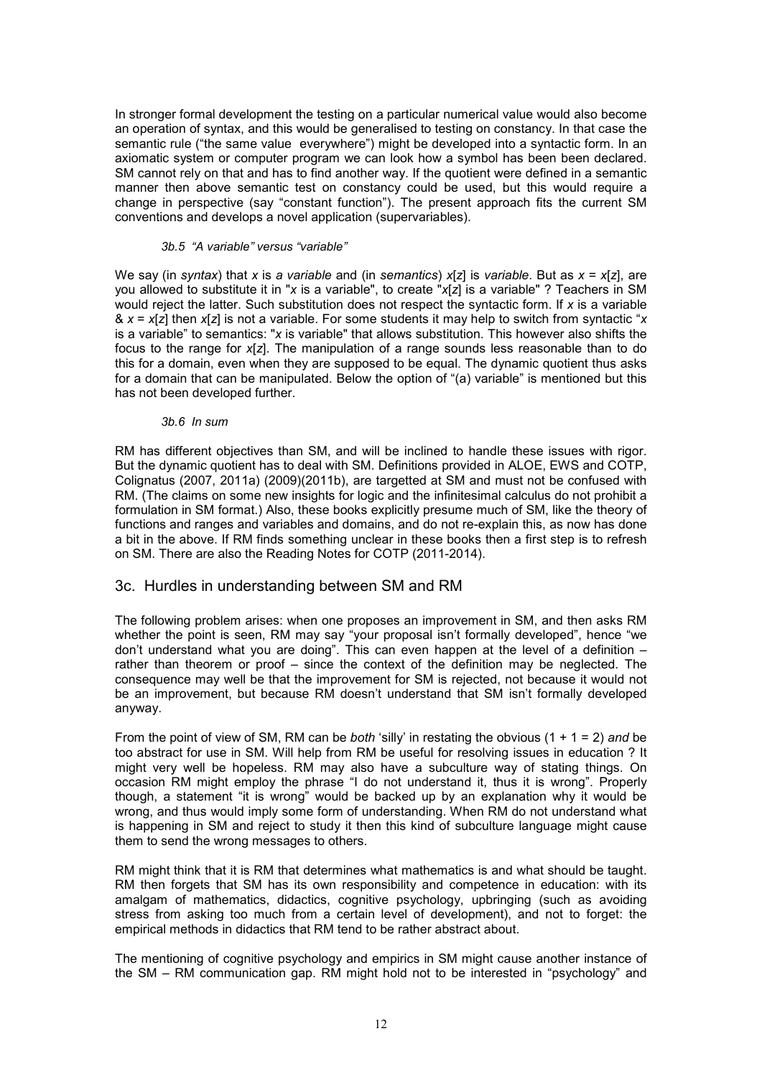In stronger formal development the testing on a particular numerical value would also become an operation of syntax, and this would be generalised to testing on constancy. In that case the semantic rule ("the same value everywhere") might be developed into a syntactic form. In an axiomatic system or computer program we can look how a symbol has been been declared. SM cannot rely on that and has to find another way. If the quotient were defined in a semantic manner then above semantic test on constancy could be used, but this would require a change in perspective (say "constant function"). The present approach fits the current SM conventions and develops a novel application (supervariables).

### *3b.5 "A variable" versus "variable"*

We say (in *syntax*) that *x* is *a variable* and (in *semantics*) *x*[*z*] is *variable*. But as *x* = *x*[*z*], are you allowed to substitute it in "*x* is a variable", to create "*x*[*z*] is a variable" ? Teachers in SM would reject the latter. Such substitution does not respect the syntactic form. If *x* is a variable & *x* = *x*[*z*] then *x*[*z*] is not a variable. For some students it may help to switch from syntactic "*x* is a variable" to semantics: "*x* is variable" that allows substitution. This however also shifts the focus to the range for *x*[*z*]. The manipulation of a range sounds less reasonable than to do this for a domain, even when they are supposed to be equal. The dynamic quotient thus asks for a domain that can be manipulated. Below the option of "(a) variable" is mentioned but this has not been developed further.

#### *3b.6 In sum*

RM has different objectives than SM, and will be inclined to handle these issues with rigor. But the dynamic quotient has to deal with SM. Definitions provided in ALOE, EWS and COTP, Colignatus (2007, 2011a) (2009)(2011b), are targetted at SM and must not be confused with RM. (The claims on some new insights for logic and the infinitesimal calculus do not prohibit a formulation in SM format.) Also, these books explicitly presume much of SM, like the theory of functions and ranges and variables and domains, and do not re-explain this, as now has done a bit in the above. If RM finds something unclear in these books then a first step is to refresh on SM. There are also the Reading Notes for COTP (2011-2014).

### 3c. Hurdles in understanding between SM and RM

The following problem arises: when one proposes an improvement in SM, and then asks RM whether the point is seen, RM may say "your proposal isn't formally developed", hence "we don't understand what you are doing". This can even happen at the level of a definition – rather than theorem or proof – since the context of the definition may be neglected. The consequence may well be that the improvement for SM is rejected, not because it would not be an improvement, but because RM doesn't understand that SM isn't formally developed anyway.

From the point of view of SM, RM can be *both* 'silly' in restating the obvious (1 + 1 = 2) *and* be too abstract for use in SM. Will help from RM be useful for resolving issues in education ? It might very well be hopeless. RM may also have a subculture way of stating things. On occasion RM might employ the phrase "I do not understand it, thus it is wrong". Properly though, a statement "it is wrong" would be backed up by an explanation why it would be wrong, and thus would imply some form of understanding. When RM do not understand what is happening in SM and reject to study it then this kind of subculture language might cause them to send the wrong messages to others.

RM might think that it is RM that determines what mathematics is and what should be taught. RM then forgets that SM has its own responsibility and competence in education: with its amalgam of mathematics, didactics, cognitive psychology, upbringing (such as avoiding stress from asking too much from a certain level of development), and not to forget: the empirical methods in didactics that RM tend to be rather abstract about.

The mentioning of cognitive psychology and empirics in SM might cause another instance of the SM – RM communication gap. RM might hold not to be interested in "psychology" and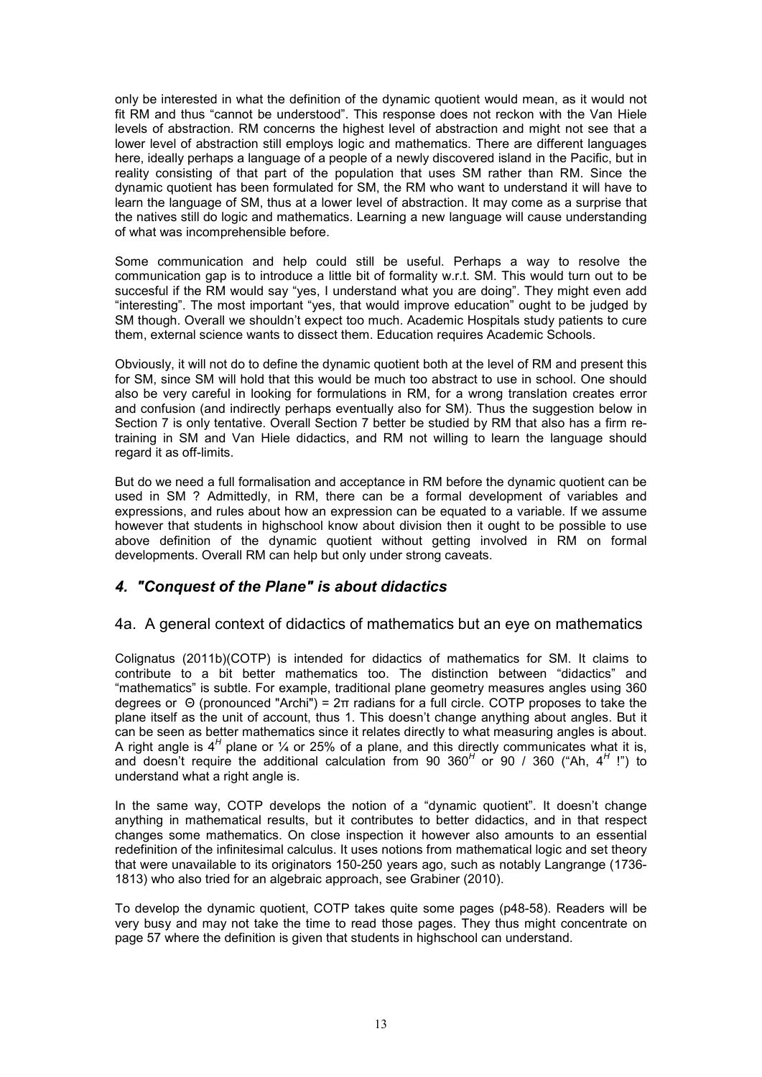only be interested in what the definition of the dynamic quotient would mean, as it would not fit RM and thus "cannot be understood". This response does not reckon with the Van Hiele levels of abstraction. RM concerns the highest level of abstraction and might not see that a lower level of abstraction still employs logic and mathematics. There are different languages here, ideally perhaps a language of a people of a newly discovered island in the Pacific, but in reality consisting of that part of the population that uses SM rather than RM. Since the dynamic quotient has been formulated for SM, the RM who want to understand it will have to learn the language of SM, thus at a lower level of abstraction. It may come as a surprise that the natives still do logic and mathematics. Learning a new language will cause understanding of what was incomprehensible before.

Some communication and help could still be useful. Perhaps a way to resolve the communication gap is to introduce a little bit of formality w.r.t. SM. This would turn out to be succesful if the RM would say "yes, I understand what you are doing". They might even add "interesting". The most important "yes, that would improve education" ought to be judged by SM though. Overall we shouldn't expect too much. Academic Hospitals study patients to cure them, external science wants to dissect them. Education requires Academic Schools.

Obviously, it will not do to define the dynamic quotient both at the level of RM and present this for SM, since SM will hold that this would be much too abstract to use in school. One should also be very careful in looking for formulations in RM, for a wrong translation creates error and confusion (and indirectly perhaps eventually also for SM). Thus the suggestion below in Section 7 is only tentative. Overall Section 7 better be studied by RM that also has a firm retraining in SM and Van Hiele didactics, and RM not willing to learn the language should regard it as off-limits.

But do we need a full formalisation and acceptance in RM before the dynamic quotient can be used in SM ? Admittedly, in RM, there can be a formal development of variables and expressions, and rules about how an expression can be equated to a variable. If we assume however that students in highschool know about division then it ought to be possible to use above definition of the dynamic quotient without getting involved in RM on formal developments. Overall RM can help but only under strong caveats.

## *4. "Conquest of the Plane" is about didactics*

### 4a. A general context of didactics of mathematics but an eye on mathematics

Colignatus (2011b)(COTP) is intended for didactics of mathematics for SM. It claims to contribute to a bit better mathematics too. The distinction between "didactics" and "mathematics" is subtle. For example, traditional plane geometry measures angles using 360 degrees or Θ (pronounced "Archi") = 2π radians for a full circle. COTP proposes to take the plane itself as the unit of account, thus 1. This doesn't change anything about angles. But it can be seen as better mathematics since it relates directly to what measuring angles is about. A right angle is 4<sup>H</sup> plane or 1/<sub>4</sub> or 25% of a plane, and this directly communicates what it is, and doesn't require the additional calculation from 90 360<sup>H</sup> or 90 / 360 ("Ah, 4<sup>H</sup> !") to understand what a right angle is.

In the same way, COTP develops the notion of a "dynamic quotient". It doesn't change anything in mathematical results, but it contributes to better didactics, and in that respect changes some mathematics. On close inspection it however also amounts to an essential redefinition of the infinitesimal calculus. It uses notions from mathematical logic and set theory that were unavailable to its originators 150-250 years ago, such as notably Langrange (1736- 1813) who also tried for an algebraic approach, see Grabiner (2010).

To develop the dynamic quotient, COTP takes quite some pages (p48-58). Readers will be very busy and may not take the time to read those pages. They thus might concentrate on page 57 where the definition is given that students in highschool can understand.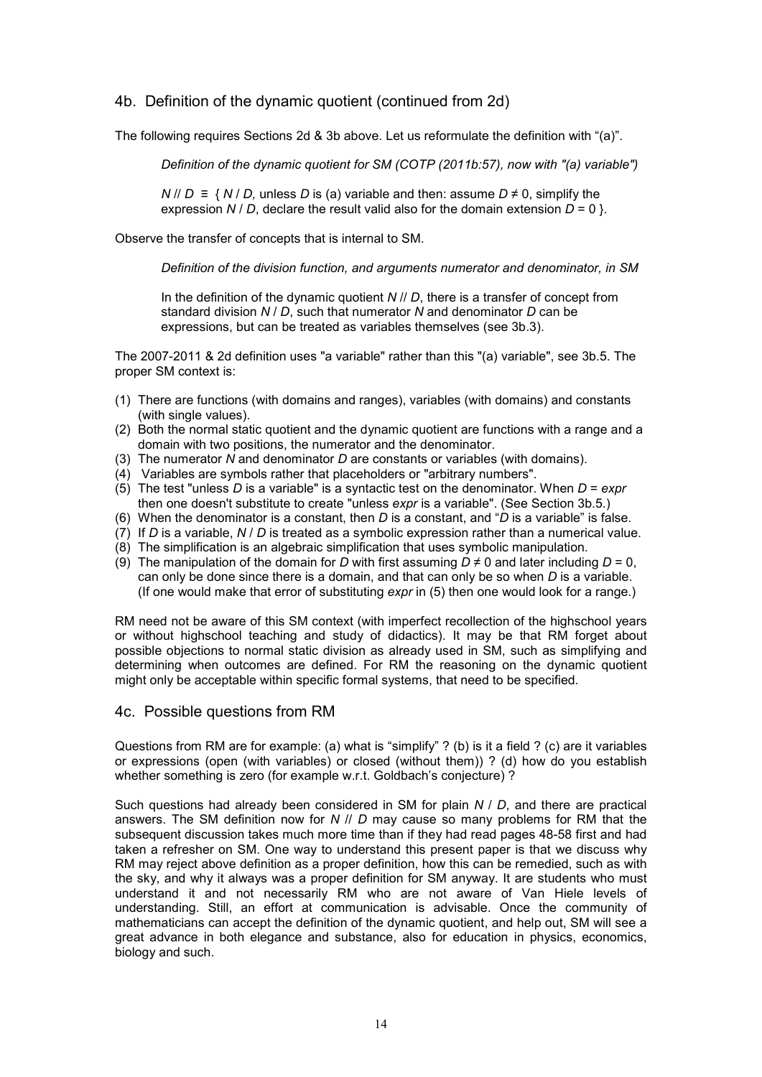## 4b. Definition of the dynamic quotient (continued from 2d)

The following requires Sections 2d & 3b above. Let us reformulate the definition with "(a)".

*Definition of the dynamic quotient for SM (COTP (2011b:57), now with "(a) variable")*

*N* // *D* ≡ { *N* / *D,* unless *D* is (a) variable and then: assume *D* ≠ 0, simplify the expression *N* / *D*, declare the result valid also for the domain extension  $D = 0$  }.

Observe the transfer of concepts that is internal to SM.

*Definition of the division function, and arguments numerator and denominator, in SM*

In the definition of the dynamic quotient *N* // *D*, there is a transfer of concept from standard division *N* / *D*, such that numerator *N* and denominator *D* can be expressions, but can be treated as variables themselves (see 3b.3).

The 2007-2011 & 2d definition uses "a variable" rather than this "(a) variable", see 3b.5. The proper SM context is:

- (1) There are functions (with domains and ranges), variables (with domains) and constants (with single values).
- (2) Both the normal static quotient and the dynamic quotient are functions with a range and a domain with two positions, the numerator and the denominator.
- (3) The numerator *N* and denominator *D* are constants or variables (with domains).
- (4) Variables are symbols rather that placeholders or "arbitrary numbers".
- (5) The test "unless *D* is a variable" is a syntactic test on the denominator. When *D* = *expr* then one doesn't substitute to create "unless *expr* is a variable". (See Section 3b.5.)
- (6) When the denominator is a constant, then *D* is a constant, and "*D* is a variable" is false.
- (7) If *D* is a variable, *N* / *D* is treated as a symbolic expression rather than a numerical value.
- (8) The simplification is an algebraic simplification that uses symbolic manipulation.
- (9) The manipulation of the domain for *D* with first assuming  $D \neq 0$  and later including  $D = 0$ , can only be done since there is a domain, and that can only be so when *D* is a variable. (If one would make that error of substituting *expr* in (5) then one would look for a range.)

RM need not be aware of this SM context (with imperfect recollection of the highschool years or without highschool teaching and study of didactics). It may be that RM forget about possible objections to normal static division as already used in SM, such as simplifying and determining when outcomes are defined. For RM the reasoning on the dynamic quotient might only be acceptable within specific formal systems, that need to be specified.

### 4c. Possible questions from RM

Questions from RM are for example: (a) what is "simplify" ? (b) is it a field ? (c) are it variables or expressions (open (with variables) or closed (without them)) ? (d) how do you establish whether something is zero (for example w.r.t. Goldbach's conjecture)?

Such questions had already been considered in SM for plain *N* / *D*, and there are practical answers. The SM definition now for *N* // *D* may cause so many problems for RM that the subsequent discussion takes much more time than if they had read pages 48-58 first and had taken a refresher on SM. One way to understand this present paper is that we discuss why RM may reject above definition as a proper definition, how this can be remedied, such as with the sky, and why it always was a proper definition for SM anyway. It are students who must understand it and not necessarily RM who are not aware of Van Hiele levels of understanding. Still, an effort at communication is advisable. Once the community of mathematicians can accept the definition of the dynamic quotient, and help out, SM will see a great advance in both elegance and substance, also for education in physics, economics, biology and such.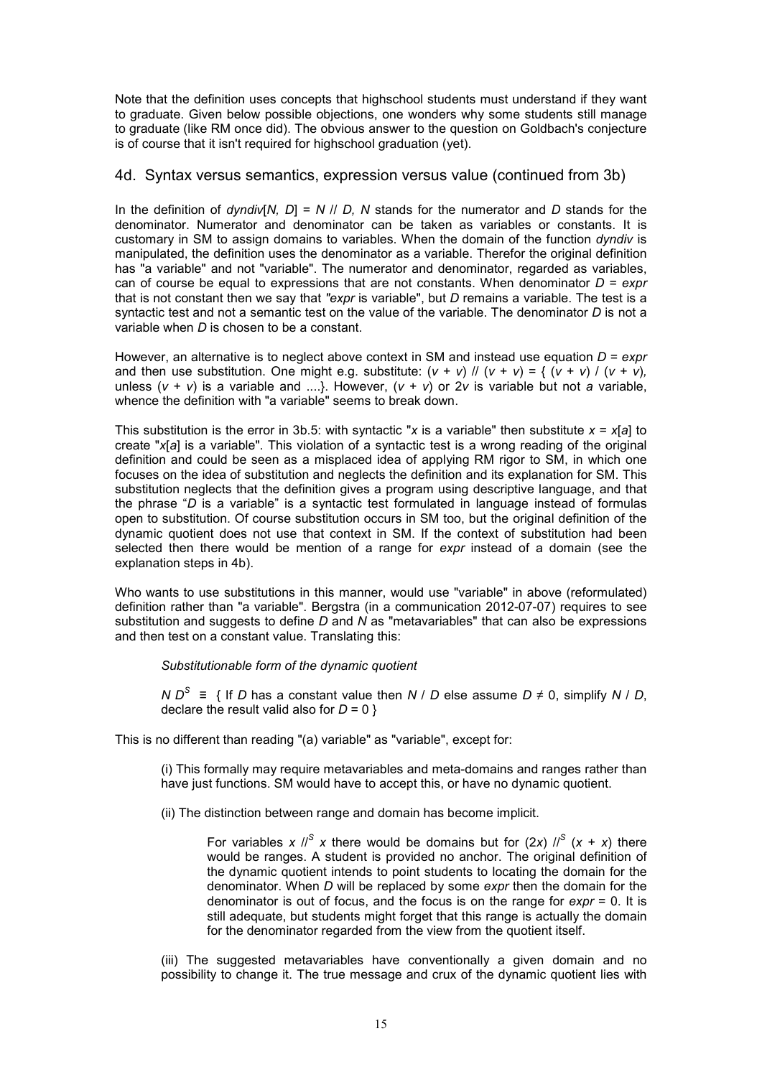Note that the definition uses concepts that highschool students must understand if they want to graduate. Given below possible objections, one wonders why some students still manage to graduate (like RM once did). The obvious answer to the question on Goldbach's conjecture is of course that it isn't required for highschool graduation (yet).

### 4d. Syntax versus semantics, expression versus value (continued from 3b)

In the definition of *dyndiv*[*N, D*] = *N* // *D, N* stands for the numerator and *D* stands for the denominator. Numerator and denominator can be taken as variables or constants. It is customary in SM to assign domains to variables. When the domain of the function *dyndiv* is manipulated, the definition uses the denominator as a variable. Therefor the original definition has "a variable" and not "variable". The numerator and denominator, regarded as variables, can of course be equal to expressions that are not constants. When denominator *D* = *expr* that is not constant then we say that *"expr* is variable", but *D* remains a variable. The test is a syntactic test and not a semantic test on the value of the variable. The denominator *D* is not a variable when *D* is chosen to be a constant.

However, an alternative is to neglect above context in SM and instead use equation *D* = *expr* and then use substitution. One might e.g. substitute:  $(v + v)$  //  $(v + v) = \{ (v + v) / (v + v),$ unless  $(v + v)$  is a variable and ....}. However,  $(v + v)$  or 2*v* is variable but not *a* variable. whence the definition with "a variable" seems to break down.

This substitution is the error in 3b.5: with syntactic "*x* is a variable" then substitute *x* = *x*[*a*] to create "*x*[*a*] is a variable". This violation of a syntactic test is a wrong reading of the original definition and could be seen as a misplaced idea of applying RM rigor to SM, in which one focuses on the idea of substitution and neglects the definition and its explanation for SM. This substitution neglects that the definition gives a program using descriptive language, and that the phrase "*D* is a variable" is a syntactic test formulated in language instead of formulas open to substitution. Of course substitution occurs in SM too, but the original definition of the dynamic quotient does not use that context in SM. If the context of substitution had been selected then there would be mention of a range for *expr* instead of a domain (see the explanation steps in 4b).

Who wants to use substitutions in this manner, would use "variable" in above (reformulated) definition rather than "a variable". Bergstra (in a communication 2012-07-07) requires to see substitution and suggests to define *D* and *N* as "metavariables" that can also be expressions and then test on a constant value. Translating this:

*Substitutionable form of the dynamic quotient*

*N*  $D^S$  ≡ { If *D* has a constant value then *N | D* else assume *D* ≠ 0, simplify *N | D*, declare the result valid also for  $D = 0$  }

This is no different than reading "(a) variable" as "variable", except for:

(i) This formally may require metavariables and meta-domains and ranges rather than have just functions. SM would have to accept this, or have no dynamic quotient.

(ii) The distinction between range and domain has become implicit.

For variables *x*  $\frac{1}{s}$  *x* there would be domains but for (2*x*)  $\frac{1}{s}$  (*x* + *x*) there would be ranges. A student is provided no anchor. The original definition of the dynamic quotient intends to point students to locating the domain for the denominator. When *D* will be replaced by some *expr* then the domain for the denominator is out of focus, and the focus is on the range for *expr* = 0. It is still adequate, but students might forget that this range is actually the domain for the denominator regarded from the view from the quotient itself.

(iii) The suggested metavariables have conventionally a given domain and no possibility to change it. The true message and crux of the dynamic quotient lies with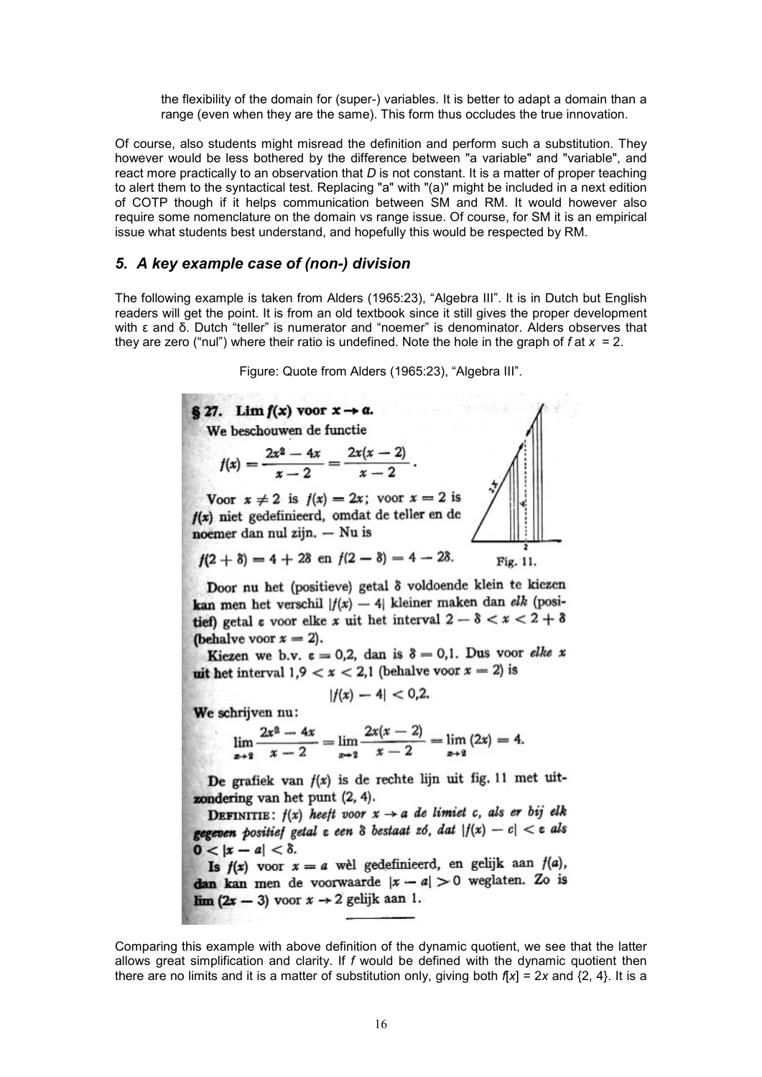the flexibility of the domain for (super-) variables. It is better to adapt a domain than a range (even when they are the same). This form thus occludes the true innovation.

Of course, also students might misread the definition and perform such a substitution. They however would be less bothered by the difference between "a variable" and "variable", and react more practically to an observation that *D* is not constant. It is a matter of proper teaching to alert them to the syntactical test. Replacing "a" with "(a)" might be included in a next edition of COTP though if it helps communication between SM and RM. It would however also require some nomenclature on the domain vs range issue. Of course, for SM it is an empirical issue what students best understand, and hopefully this would be respected by RM.

### *5. A key example case of (non-) division*

The following example is taken from Alders (1965:23), "Algebra III". It is in Dutch but English readers will get the point. It is from an old textbook since it still gives the proper development with ε and δ. Dutch "teller" is numerator and "noemer" is denominator. Alders observes that they are zero ("nul") where their ratio is undefined. Note the hole in the graph of *f* at *x* = 2.

Figure: Quote from Alders (1965:23), "Algebra III".

§ 27. Lim  $f(x)$  voor  $x \rightarrow a$ . We beschouwen de functie  $f(x) = \frac{2x^2 - 4x}{x - 2} = \frac{2x(x - 2)}{x - 2}.$ Voor  $x \neq 2$  is  $f(x) = 2x$ ; voor  $x = 2$  is  $f(x)$  niet gedefinieerd, omdat de teller en de noemer dan nul zijn.  $-$  Nu is  $f(2 + \delta) = 4 + 2\delta$  en  $f(2 - \delta) = 4 - 2\delta$ . Fig. 11.

Door nu het (positieve) getal 8 voldoende klein te kiezen kan men het verschil  $|f(x) - 4|$  kleiner maken dan elk (positief) getal  $\epsilon$  voor elke x uit het interval  $2 - \delta < x < 2 + \delta$ (behalve voor  $x = 2$ ).

Kiezen we b.v.  $\varepsilon = 0.2$ , dan is  $\delta = 0.1$ . Dus voor elke x with the interval  $1, 9 < x < 2, 1$  (behalve voor  $x = 2$ ) is

 $|f(x) - 4| < 0.2$ 

We schrijven nu:  

$$
2x^2 - 4x \qquad 2x(x-2)
$$

$$
\lim_{x\to 2} \frac{2x^2-4x}{x-2} = \lim_{x\to 2} \frac{2x(x-2)}{x-2} = \lim_{x\to 2} (2x) = 4.
$$

De grafiek van  $f(x)$  is de rechte lijn uit fig. 11 met uitzondering van het punt  $(2, 4)$ .

**DEFINITIE:**  $f(x)$  heeft voor  $x \rightarrow a$  de limiet c, als er bij elk gegeven positief getal  $\varepsilon$  een  $\delta$  bestaat zó, dat  $|f(x) - c| < \varepsilon$  als  $0 < |x - a| < \delta.$ 

Is  $f(x)$  voor  $x = a$  well gedefinieerd, en gelijk aan  $f(a)$ , dan kan men de voorwaarde  $|x - a| > 0$  weglaten. Zo is  $\lim (2x - 3)$  voor  $x \rightarrow 2$  gelijk aan 1.

Comparing this example with above definition of the dynamic quotient, we see that the latter allows great simplification and clarity. If *f* would be defined with the dynamic quotient then there are no limits and it is a matter of substitution only, giving both  $f(x) = 2x$  and  $\{2, 4\}$ . It is a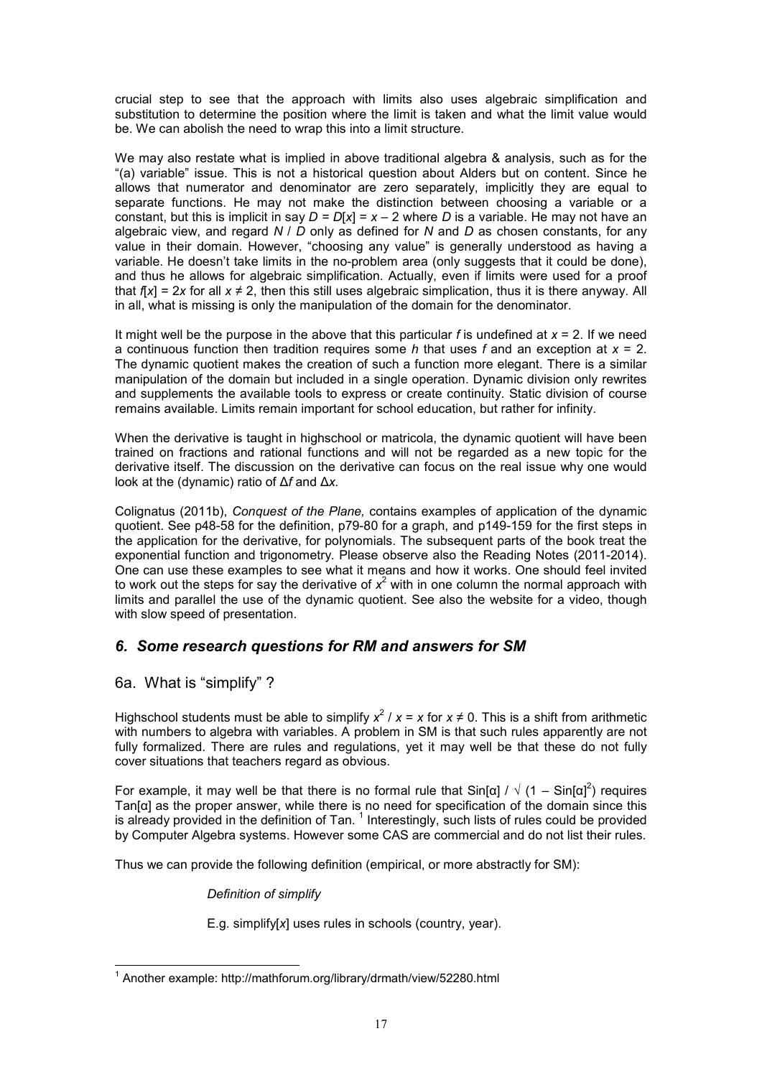crucial step to see that the approach with limits also uses algebraic simplification and substitution to determine the position where the limit is taken and what the limit value would be. We can abolish the need to wrap this into a limit structure.

We may also restate what is implied in above traditional algebra & analysis, such as for the "(a) variable" issue. This is not a historical question about Alders but on content. Since he allows that numerator and denominator are zero separately, implicitly they are equal to separate functions. He may not make the distinction between choosing a variable or a constant, but this is implicit in say  $D = D[x] = x - 2$  where *D* is a variable. He may not have an algebraic view, and regard *N* / *D* only as defined for *N* and *D* as chosen constants, for any value in their domain. However, "choosing any value" is generally understood as having a variable. He doesn't take limits in the no-problem area (only suggests that it could be done), and thus he allows for algebraic simplification. Actually, even if limits were used for a proof that  $f[x] = 2x$  for all  $x \neq 2$ , then this still uses algebraic simplication, thus it is there anyway. All in all, what is missing is only the manipulation of the domain for the denominator.

It might well be the purpose in the above that this particular *f* is undefined at *x* = 2. If we need a continuous function then tradition requires some *h* that uses *f* and an exception at *x* = 2. The dynamic quotient makes the creation of such a function more elegant. There is a similar manipulation of the domain but included in a single operation. Dynamic division only rewrites and supplements the available tools to express or create continuity. Static division of course remains available. Limits remain important for school education, but rather for infinity.

When the derivative is taught in highschool or matricola, the dynamic quotient will have been trained on fractions and rational functions and will not be regarded as a new topic for the derivative itself. The discussion on the derivative can focus on the real issue why one would look at the (dynamic) ratio of ∆*f* and ∆*x.*

Colignatus (2011b), *Conquest of the Plane,* contains examples of application of the dynamic quotient. See p48-58 for the definition, p79-80 for a graph, and p149-159 for the first steps in the application for the derivative, for polynomials. The subsequent parts of the book treat the exponential function and trigonometry. Please observe also the Reading Notes (2011-2014). One can use these examples to see what it means and how it works. One should feel invited to work out the steps for say the derivative of  $x^2$  with in one column the normal approach with limits and parallel the use of the dynamic quotient. See also the website for a video, though with slow speed of presentation.

## *6. Some research questions for RM and answers for SM*

## 6a. What is "simplify" ?

Highschool students must be able to simplify  $x^2 / x = x$  for  $x \ne 0$ . This is a shift from arithmetic with numbers to algebra with variables. A problem in SM is that such rules apparently are not fully formalized. There are rules and regulations, yet it may well be that these do not fully cover situations that teachers regard as obvious.

For example, it may well be that there is no formal rule that Sin[α] /  $\sqrt{(1-\text{Sin}[\alpha]^2)}$  requires Tan[α] as the proper answer, while there is no need for specification of the domain since this is already provided in the definition of Tan.  $^1$  Interestingly, such lists of rules could be provided by Computer Algebra systems. However some CAS are commercial and do not list their rules.

Thus we can provide the following definition (empirical, or more abstractly for SM):

*Definition of simplify*

E.g. simplify[*x*] uses rules in schools (country, year).

l <sup>1</sup> Another example: http://mathforum.org/library/drmath/view/52280.html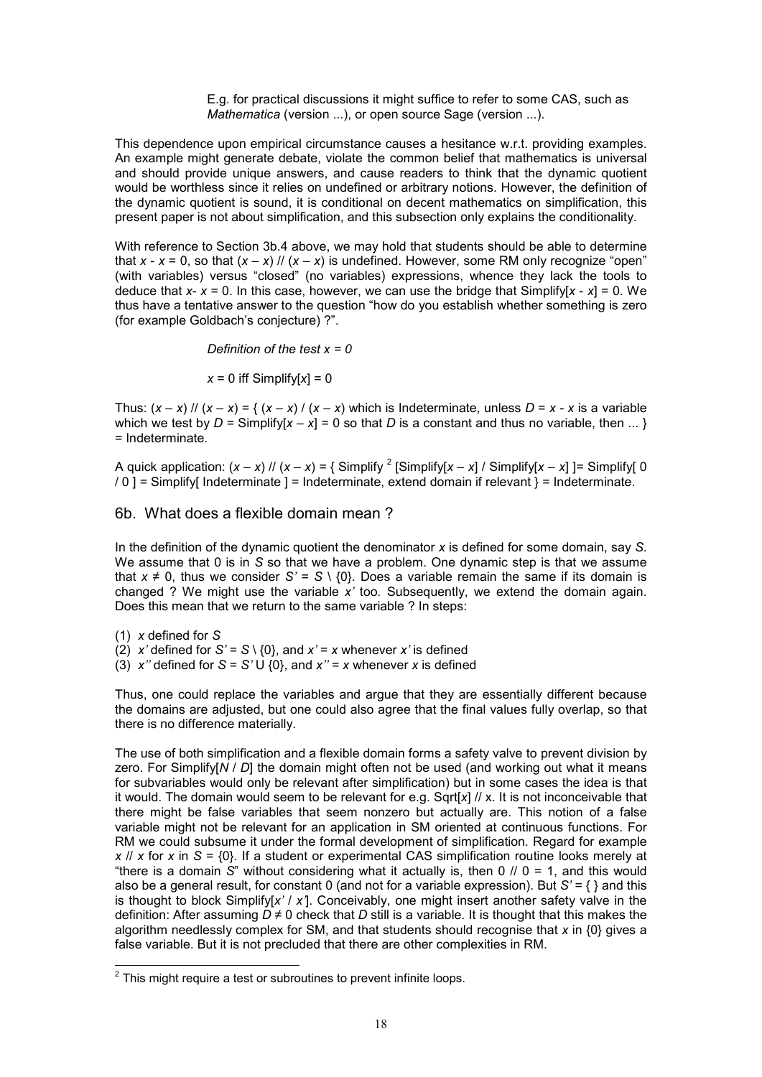E.g. for practical discussions it might suffice to refer to some CAS, such as *Mathematica* (version ...), or open source Sage (version ...).

This dependence upon empirical circumstance causes a hesitance w.r.t. providing examples. An example might generate debate, violate the common belief that mathematics is universal and should provide unique answers, and cause readers to think that the dynamic quotient would be worthless since it relies on undefined or arbitrary notions. However, the definition of the dynamic quotient is sound, it is conditional on decent mathematics on simplification, this present paper is not about simplification, and this subsection only explains the conditionality.

With reference to Section 3b.4 above, we may hold that students should be able to determine that  $x - x = 0$ , so that  $(x - x)$  //  $(x - x)$  is undefined. However, some RM only recognize "open" (with variables) versus "closed" (no variables) expressions, whence they lack the tools to deduce that  $x - x = 0$ . In this case, however, we can use the bridge that Simplify[x  $- x = 0$ . We thus have a tentative answer to the question "how do you establish whether something is zero (for example Goldbach's conjecture) ?".

*Definition of the test x = 0*

 $x = 0$  iff Simplify[ $x$ ] = 0

Thus:  $(x - x)$  //  $(x - x) = \frac{1}{x - x}$  /  $(x - x)$  which is Indeterminate, unless  $D = x - x$  is a variable which we test by  $D =$  Simplify[ $x - x$ ] = 0 so that *D* is a constant and thus no variable, then ... } = Indeterminate.

A quick application:  $(x - x)$  //  $(x - x) = \{$  Simplify  $^2$  [Simplify[ $x - x$ ] / Simplify[ $x - x$ ] ]= Simplify[0 / 0 ] = Simplify[ Indeterminate ] = Indeterminate, extend domain if relevant } = Indeterminate.

### 6b. What does a flexible domain mean ?

In the definition of the dynamic quotient the denominator *x* is defined for some domain, say *S*. We assume that 0 is in *S* so that we have a problem. One dynamic step is that we assume that  $x \neq 0$ , thus we consider  $S' = S \setminus \{0\}$ . Does a variable remain the same if its domain is changed ? We might use the variable *x'* too*.* Subsequently, we extend the domain again. Does this mean that we return to the same variable ? In steps:

(1) *x* defined for *S*

(2) *x'* defined for  $S' = S \setminus \{0\}$ , and  $x' = x$  whenever *x'* is defined

(3)  $x''$  defined for  $S = S' \cup \{0\}$ , and  $x'' = x$  whenever *x* is defined

Thus, one could replace the variables and argue that they are essentially different because the domains are adjusted, but one could also agree that the final values fully overlap, so that there is no difference materially.

The use of both simplification and a flexible domain forms a safety valve to prevent division by zero. For Simplify[*N* / *D*] the domain might often not be used (and working out what it means for subvariables would only be relevant after simplification) but in some cases the idea is that it would. The domain would seem to be relevant for e.g. Sqrt[*x*] // x. It is not inconceivable that there might be false variables that seem nonzero but actually are. This notion of a false variable might not be relevant for an application in SM oriented at continuous functions. For RM we could subsume it under the formal development of simplification. Regard for example *x* // *x* for *x* in *S* = {0}. If a student or experimental CAS simplification routine looks merely at "there is a domain *S*" without considering what it actually is, then 0 // 0 = 1, and this would also be a general result, for constant 0 (and not for a variable expression). But *S'* = { } and this is thought to block Simplify[*x'* / *x'*]. Conceivably, one might insert another safety valve in the definition: After assuming *D* ≠ 0 check that *D* still is a variable. It is thought that this makes the algorithm needlessly complex for SM, and that students should recognise that *x* in {0} gives a false variable. But it is not precluded that there are other complexities in RM.

<sup>&</sup>lt;sup>2</sup> This might require a test or subroutines to prevent infinite loops.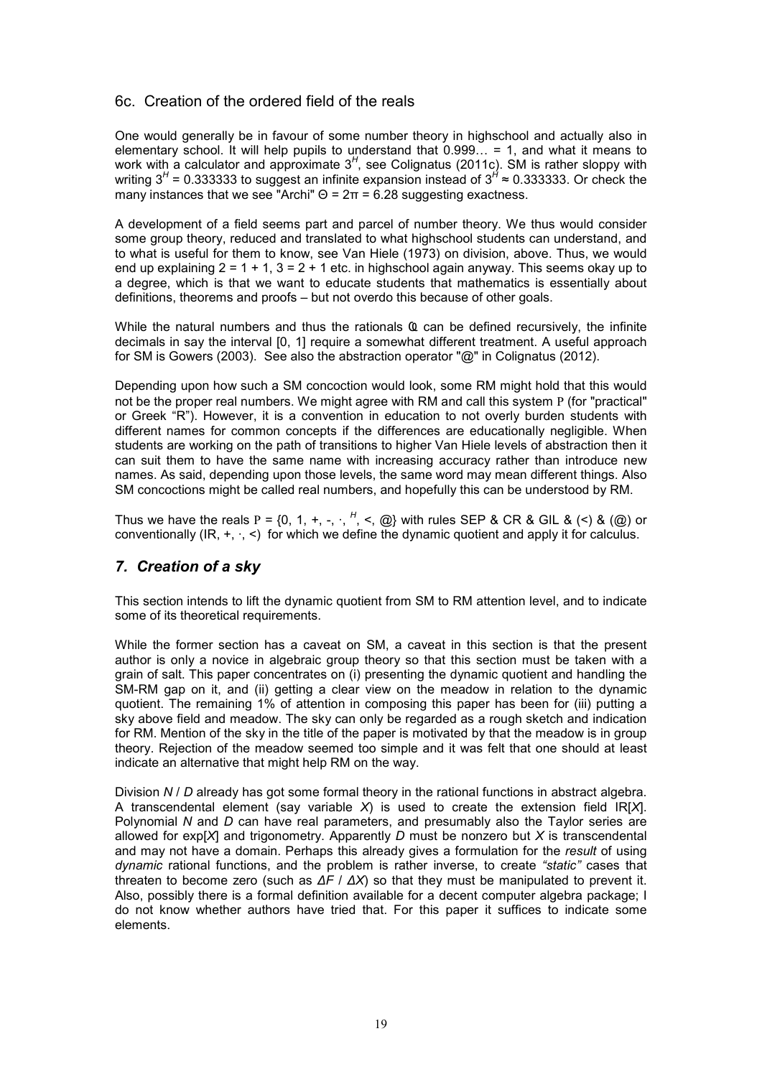## 6c. Creation of the ordered field of the reals

One would generally be in favour of some number theory in highschool and actually also in elementary school. It will help pupils to understand that  $0.999... = 1$ , and what it means to work with a calculator and approximate 3<sup>H</sup>, see Colignatus (2011c). SM is rather sloppy with writing 3<sup>H</sup> = 0.333333 to suggest an infinite expansion instead of 3<sup>H</sup> ≈ 0.333333. Or check the many instances that we see "Archi"  $\Theta$  =  $2\pi$  = 6.28 suggesting exactness.

A development of a field seems part and parcel of number theory. We thus would consider some group theory, reduced and translated to what highschool students can understand, and to what is useful for them to know, see Van Hiele (1973) on division, above. Thus, we would end up explaining  $2 = 1 + 1$ ,  $3 = 2 + 1$  etc. in highschool again anyway. This seems okay up to a degree, which is that we want to educate students that mathematics is essentially about definitions, theorems and proofs – but not overdo this because of other goals.

While the natural numbers and thus the rationals Ҩ can be defined recursively, the infinite decimals in say the interval [0, 1] require a somewhat different treatment. A useful approach for SM is Gowers (2003). See also the abstraction operator "@" in Colignatus (2012).

Depending upon how such a SM concoction would look, some RM might hold that this would not be the proper real numbers. We might agree with RM and call this system Ρ (for "practical" or Greek "R"). However, it is a convention in education to not overly burden students with different names for common concepts if the differences are educationally negligible. When students are working on the path of transitions to higher Van Hiele levels of abstraction then it can suit them to have the same name with increasing accuracy rather than introduce new names. As said, depending upon those levels, the same word may mean different things. Also SM concoctions might be called real numbers, and hopefully this can be understood by RM.

Thus we have the reals P = {0, 1, +, -,  $\cdot$ ,  $^H$ , <, @} with rules SEP & CR & GIL & (<) & (@) or conventionally  $(\mathsf{IR}, +, \cdot, <)$  for which we define the dynamic quotient and apply it for calculus.

## *7. Creation of a sky*

This section intends to lift the dynamic quotient from SM to RM attention level, and to indicate some of its theoretical requirements.

While the former section has a caveat on SM, a caveat in this section is that the present author is only a novice in algebraic group theory so that this section must be taken with a grain of salt. This paper concentrates on (i) presenting the dynamic quotient and handling the SM-RM gap on it, and (ii) getting a clear view on the meadow in relation to the dynamic quotient. The remaining 1% of attention in composing this paper has been for (iii) putting a sky above field and meadow. The sky can only be regarded as a rough sketch and indication for RM. Mention of the sky in the title of the paper is motivated by that the meadow is in group theory. Rejection of the meadow seemed too simple and it was felt that one should at least indicate an alternative that might help RM on the way.

Division *N* / *D* already has got some formal theory in the rational functions in abstract algebra. A transcendental element (say variable *X*) is used to create the extension field IR[*X*]. Polynomial *N* and *D* can have real parameters, and presumably also the Taylor series are allowed for exp[*X*] and trigonometry. Apparently *D* must be nonzero but *X* is transcendental and may not have a domain. Perhaps this already gives a formulation for the *result* of using *dynamic* rational functions, and the problem is rather inverse, to create *"static"* cases that threaten to become zero (such as *∆F* / *∆X*) so that they must be manipulated to prevent it. Also, possibly there is a formal definition available for a decent computer algebra package; I do not know whether authors have tried that. For this paper it suffices to indicate some elements.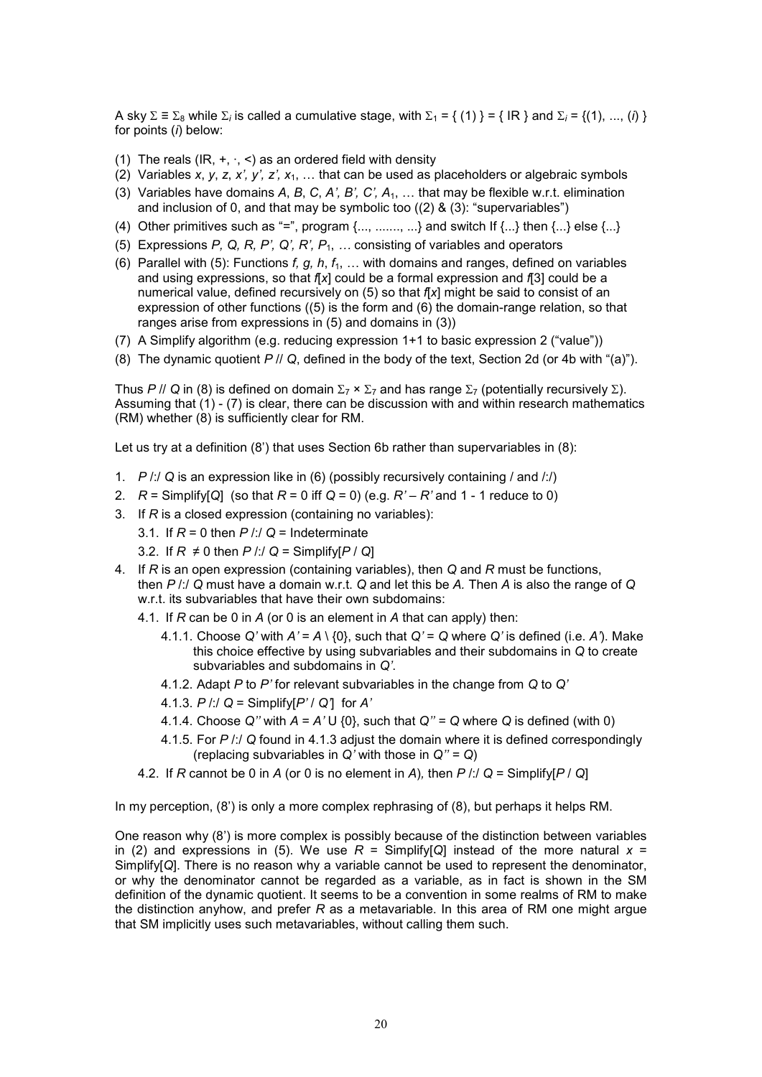A sky  $\Sigma \equiv \Sigma_8$  while  $\Sigma_i$  is called a cumulative stage, with  $\Sigma_1$  = { (1) } = { IR } and  $\Sigma_i$  = {(1), ..., (*i*) } for points (*i*) below:

- (1) The reals (IR,  $+$ ,  $\cdot$ ,  $\lt$ ) as an ordered field with density
- (2) Variables *x*, *y*, *z*, *x'*, *y'*, *z'*,  $x_1$ , ... that can be used as placeholders or algebraic symbols
- (3) Variables have domains *A*, *B*, *C*, *A', B', C', A*1, o that may be flexible w.r.t. elimination and inclusion of 0, and that may be symbolic too ((2) & (3): "supervariables")
- (4) Other primitives such as "=", program  $\{...,\,....,\, ...\}$  and switch If  $\{...\}$  then  $\{...\}$  else  $\{...\}$
- (5) Expressions *P, Q, R, P', Q', R', P*1, *M* consisting of variables and operators
- (6) Parallel with (5): Functions  $f, g, h, f<sub>1</sub>, \ldots$  with domains and ranges, defined on variables and using expressions, so that *f*[*x*] could be a formal expression and *f*[3] could be a numerical value, defined recursively on (5) so that *f*[*x*] might be said to consist of an expression of other functions ((5) is the form and (6) the domain-range relation, so that ranges arise from expressions in (5) and domains in (3))
- (7) A Simplify algorithm (e.g. reducing expression 1+1 to basic expression 2 ("value"))
- (8) The dynamic quotient *P* // *Q*, defined in the body of the text, Section 2d (or 4b with "(a)").

Thus *P* // Q in (8) is defined on domain  $\Sigma_7 \times \Sigma_7$  and has range  $\Sigma_7$  (potentially recursively  $\Sigma$ ). Assuming that  $(1)$  -  $(7)$  is clear, there can be discussion with and within research mathematics (RM) whether (8) is sufficiently clear for RM.

Let us try at a definition  $(8')$  that uses Section 6b rather than supervariables in  $(8)$ :

- 1. *P* /:/ *Q* is an expression like in (6) (possibly recursively containing / and /:/)
- 2. *R* = Simplify[*Q*] (so that *R* = 0 iff *Q* = 0) (e.g. *R' R'* and 1 1 reduce to 0)
- 3. If *R* is a closed expression (containing no variables):
	- 3.1. If  $R = 0$  then  $P / I/Q =$  Indeterminate
	- 3.2. If  $R \neq 0$  then  $P$  /:/  $Q =$  Simplify $[P / Q]$
- 4. If *R* is an open expression (containing variables), then *Q* and *R* must be functions, then *P* /:/ *Q* must have a domain w.r.t. *Q* and let this be *A.* Then *A* is also the range of *Q* w.r.t. its subvariables that have their own subdomains:
	- 4.1. If *R* can be 0 in *A* (or 0 is an element in *A* that can apply) then:
		- 4.1.1. Choose  $Q'$  with  $A' = A \setminus \{0\}$ , such that  $Q' = Q$  where  $Q'$  is defined (i.e.  $A'$ ). Make this choice effective by using subvariables and their subdomains in *Q* to create subvariables and subdomains in *Q'*.
		- 4.1.2. Adapt *P* to *P'* for relevant subvariables in the change from *Q* to *Q'*
		- 4.1.3. *P* /:/ *Q* = Simplify[*P'* / *Q'*] for *A'*
		- 4.1.4. Choose  $Q''$  with  $A = A' \cup \{0\}$ , such that  $Q'' = Q$  where  $Q$  is defined (with 0)
		- 4.1.5. For *P* /:/ *Q* found in 4.1.3 adjust the domain where it is defined correspondingly (replacing subvariables in *Q'* with those in *Q'' = Q*)
	- 4.2. If *R* cannot be 0 in *A* (or 0 is no element in *A*)*,* then *P* /:/ *Q* = Simplify[*P* / *Q*]

In my perception, (8') is only a more complex rephrasing of (8), but perhaps it helps RM.

One reason why (8') is more complex is possibly because of the distinction between variables in (2) and expressions in (5). We use  $R =$  Simplify[*Q*] instead of the more natural  $x =$ Simplify[*Q*]. There is no reason why a variable cannot be used to represent the denominator, or why the denominator cannot be regarded as a variable, as in fact is shown in the SM definition of the dynamic quotient. It seems to be a convention in some realms of RM to make the distinction anyhow, and prefer *R* as a metavariable. In this area of RM one might argue that SM implicitly uses such metavariables, without calling them such.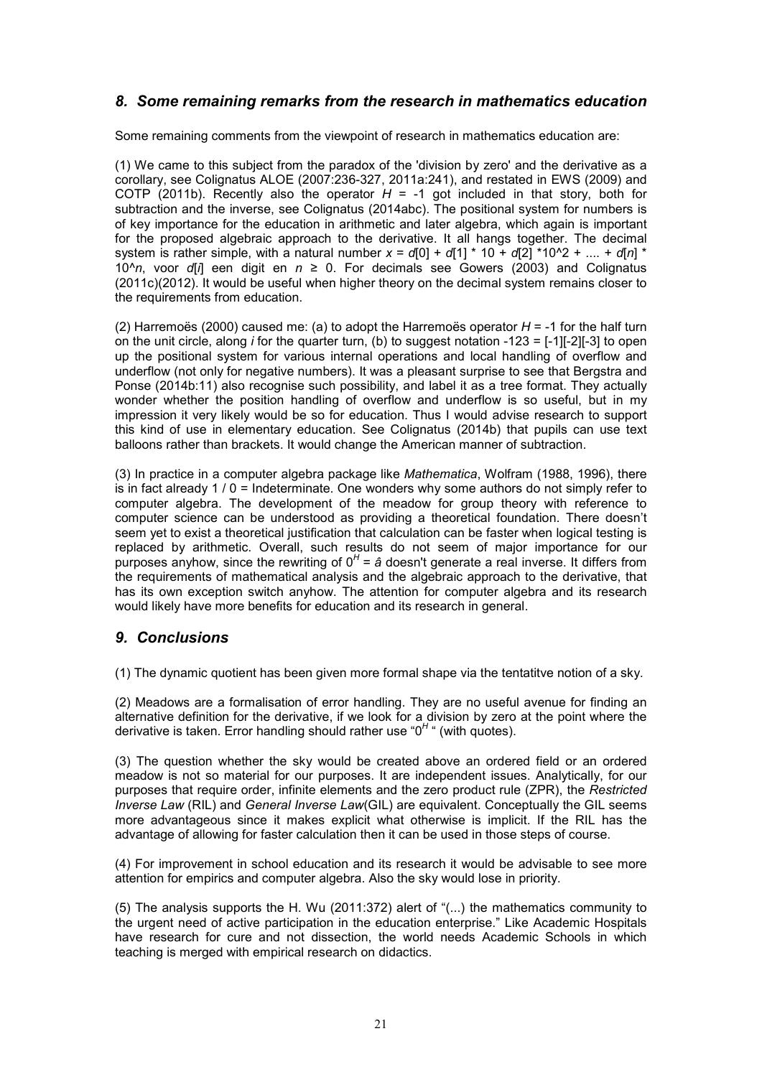## *8. Some remaining remarks from the research in mathematics education*

Some remaining comments from the viewpoint of research in mathematics education are:

(1) We came to this subject from the paradox of the 'division by zero' and the derivative as a corollary, see Colignatus ALOE (2007:236-327, 2011a:241), and restated in EWS (2009) and COTP (2011b). Recently also the operator  $H = -1$  got included in that story, both for subtraction and the inverse, see Colignatus (2014abc). The positional system for numbers is of key importance for the education in arithmetic and later algebra, which again is important for the proposed algebraic approach to the derivative. It all hangs together. The decimal system is rather simple, with a natural number  $x = d[0] + d[1] * 10 + d[2] * 10^2 + ... + d[n] *$ 10<sup> $\wedge$ </sup>*n*, voor *d*[*i*] een digit en  $n \ge 0$ . For decimals see Gowers (2003) and Colignatus (2011c)(2012). It would be useful when higher theory on the decimal system remains closer to the requirements from education.

(2) Harremoës (2000) caused me: (a) to adopt the Harremoës operator *H* = -1 for the half turn on the unit circle, along *i* for the quarter turn, (b) to suggest notation -123 = [-1][-2][-3] to open up the positional system for various internal operations and local handling of overflow and underflow (not only for negative numbers). It was a pleasant surprise to see that Bergstra and Ponse (2014b:11) also recognise such possibility, and label it as a tree format. They actually wonder whether the position handling of overflow and underflow is so useful, but in my impression it very likely would be so for education. Thus I would advise research to support this kind of use in elementary education. See Colignatus (2014b) that pupils can use text balloons rather than brackets. It would change the American manner of subtraction.

(3) In practice in a computer algebra package like *Mathematica*, Wolfram (1988, 1996), there is in fact already  $1/0 =$  Indeterminate. One wonders why some authors do not simply refer to computer algebra. The development of the meadow for group theory with reference to computer science can be understood as providing a theoretical foundation. There doesn't seem yet to exist a theoretical justification that calculation can be faster when logical testing is replaced by arithmetic. Overall, such results do not seem of major importance for our purposes anyhow, since the rewriting of 0<sup>H</sup> = *â* doesn't generate a real inverse. It differs from the requirements of mathematical analysis and the algebraic approach to the derivative, that has its own exception switch anyhow. The attention for computer algebra and its research would likely have more benefits for education and its research in general.

## *9. Conclusions*

(1) The dynamic quotient has been given more formal shape via the tentatitve notion of a sky.

(2) Meadows are a formalisation of error handling. They are no useful avenue for finding an alternative definition for the derivative, if we look for a division by zero at the point where the derivative is taken. Error handling should rather use "0*<sup>H</sup>* " (with quotes).

(3) The question whether the sky would be created above an ordered field or an ordered meadow is not so material for our purposes. It are independent issues. Analytically, for our purposes that require order, infinite elements and the zero product rule (ZPR), the *Restricted Inverse Law* (RIL) and *General Inverse Law*(GIL) are equivalent. Conceptually the GIL seems more advantageous since it makes explicit what otherwise is implicit. If the RIL has the advantage of allowing for faster calculation then it can be used in those steps of course.

(4) For improvement in school education and its research it would be advisable to see more attention for empirics and computer algebra. Also the sky would lose in priority.

(5) The analysis supports the H. Wu (2011:372) alert of "(...) the mathematics community to the urgent need of active participation in the education enterprise." Like Academic Hospitals have research for cure and not dissection, the world needs Academic Schools in which teaching is merged with empirical research on didactics.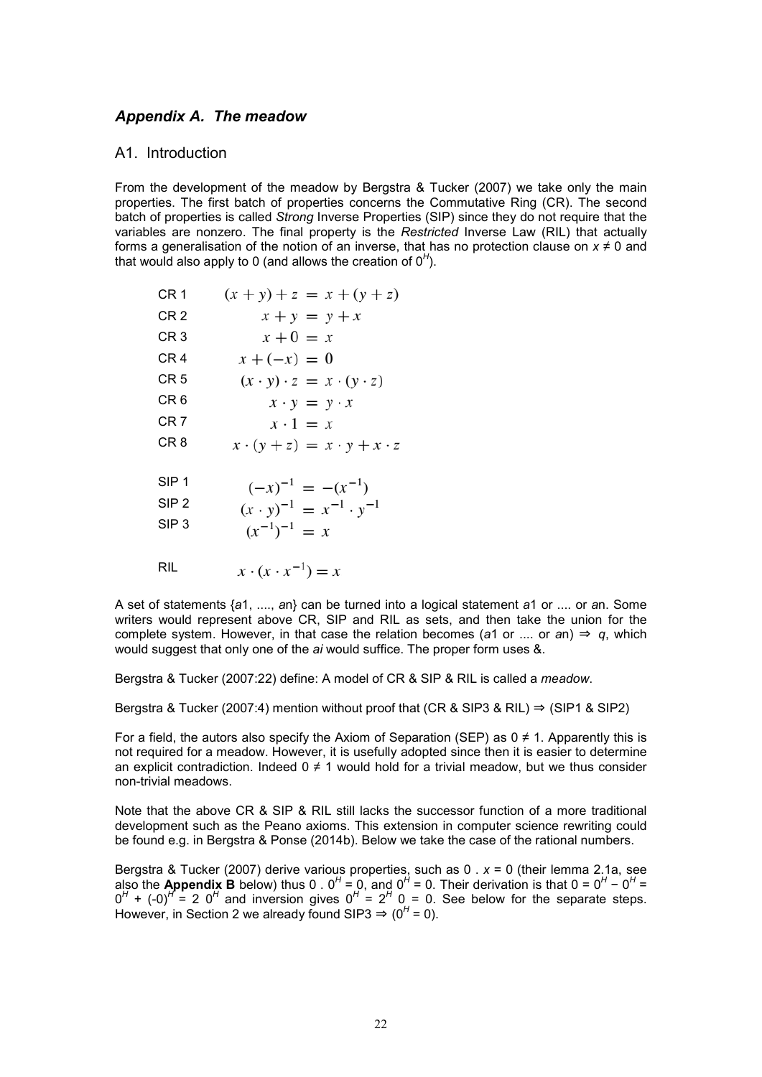## *Appendix A. The meadow*

### A1. Introduction

From the development of the meadow by Bergstra & Tucker (2007) we take only the main properties. The first batch of properties concerns the Commutative Ring (CR). The second batch of properties is called *Strong* Inverse Properties (SIP) since they do not require that the variables are nonzero. The final property is the *Restricted* Inverse Law (RIL) that actually forms a generalisation of the notion of an inverse, that has no protection clause on  $x \neq 0$  and that would also apply to 0 (and allows the creation of  $0<sup>H</sup>$ ).

| CR <sub>1</sub>  | $(x + y) + z = x + (y + z)$                 |
|------------------|---------------------------------------------|
| CR <sub>2</sub>  | $x + y = y + x$                             |
| CR <sub>3</sub>  | $x+0=x$                                     |
| CR <sub>4</sub>  | $x + (-x) = 0$                              |
| CR <sub>5</sub>  | $(x \cdot y) \cdot z = x \cdot (y \cdot z)$ |
| CR <sub>6</sub>  | $x \cdot y = y \cdot x$                     |
| CR <sub>7</sub>  | $x \cdot 1 = x$                             |
| CR <sub>8</sub>  | $x \cdot (y + z) = x \cdot y + x \cdot z$   |
| SIP <sub>1</sub> | $(-x)^{-1} = -(x^{-1})$                     |
| SIP <sub>2</sub> | $(x \cdot y)^{-1} = x^{-1} \cdot y^{-1}$    |
| SIP <sub>3</sub> | $(x^{-1})^{-1} = x$                         |
| RIL              | $x \cdot (x \cdot x^{-1}) = x$              |

A set of statements {*a*1, ...., *a*n} can be turned into a logical statement *a*1 or .... or *a*n. Some writers would represent above CR, SIP and RIL as sets, and then take the union for the complete system. However, in that case the relation becomes (a1 or .... or an)  $\Rightarrow$  q, which would suggest that only one of the *ai* would suffice. The proper form uses &.

Bergstra & Tucker (2007:22) define: A model of CR & SIP & RIL is called a *meadow*.

Bergstra & Tucker (2007:4) mention without proof that (CR & SIP3 & RIL)  $\Rightarrow$  (SIP1 & SIP2)

For a field, the autors also specify the Axiom of Separation (SEP) as  $0 \neq 1$ . Apparently this is not required for a meadow. However, it is usefully adopted since then it is easier to determine an explicit contradiction. Indeed  $0 \neq 1$  would hold for a trivial meadow, but we thus consider non-trivial meadows.

Note that the above CR & SIP & RIL still lacks the successor function of a more traditional development such as the Peano axioms. This extension in computer science rewriting could be found e.g. in Bergstra & Ponse (2014b). Below we take the case of the rational numbers.

Bergstra & Tucker (2007) derive various properties, such as 0 . *x* = 0 (their lemma 2.1a, see also the **Appendix B** below) thus 0 .  $0^H = 0$ , and  $0^H = 0$ . Their derivation is that  $0 = 0^H - 0^H = 0$  $0^H$  +  $(-0)^H$  = 2  $0^H$  and inversion gives  $0^H$  =  $2^H$  0 = 0. See below for the separate steps. However, in Section 2 we already found SIP3  $\Rightarrow$  (0<sup>H</sup> = 0).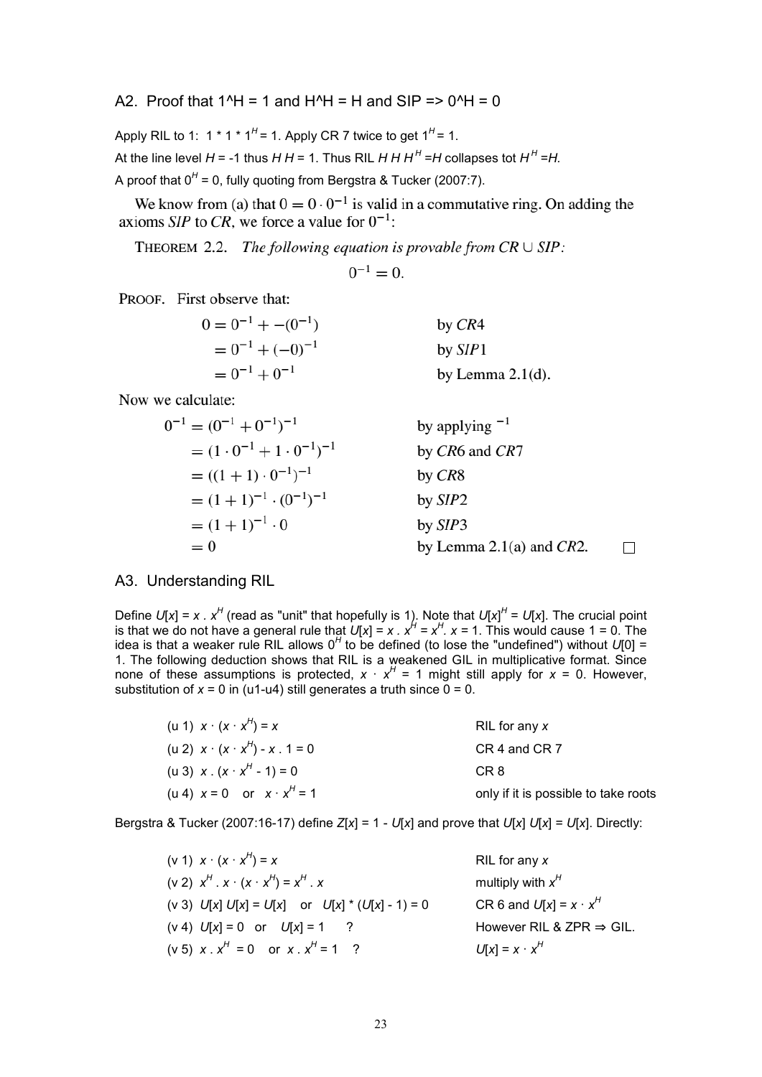A2. Proof that  $1^4$  = 1 and  $H^4$  = H and SIP =  $> 0^4$  + = 0

Apply RIL to 1:  $1 * 1 * 1<sup>H</sup> = 1$ . Apply CR 7 twice to get  $1<sup>H</sup> = 1$ .

At the line level  $H$  = -1 thus  $H$   $H$  = 1. Thus RIL  $H$   $H$   $H$ <sup> $H$ </sup> = $H$  collapses tot  $H$ <sup> $H$ </sup> = $H$ .

A proof that 0<sup>H</sup> = 0, fully quoting from Bergstra & Tucker (2007:7).

We know from (a) that  $0 = 0.0^{-1}$  is valid in a commutative ring. On adding the axioms SIP to CR, we force a value for  $0^{-1}$ .

THEOREM 2.2. The following equation is provable from  $CR \cup SIP$ :

 $0^{-1} = 0$ .

PROOF. First observe that:

| $0 = 0^{-1} + -(0^{-1})$ | by $CR4$            |
|--------------------------|---------------------|
| $= 0^{-1} + (-0)^{-1}$   | by $SIP1$           |
| $= 0^{-1} + 0^{-1}$      | by Lemma $2.1(d)$ . |

Now we calculate:

$$
0^{-1} = (0^{-1} + 0^{-1})^{-1}
$$
  
\n
$$
= (1 \cdot 0^{-1} + 1 \cdot 0^{-1})^{-1}
$$
  
\n
$$
= ((1 + 1) \cdot 0^{-1})^{-1}
$$
  
\n
$$
= (1 + 1)^{-1} \cdot (0^{-1})^{-1}
$$
  
\n
$$
= (1 + 1)^{-1} \cdot 0
$$
  
\n
$$
= 0
$$
  
\nby *CRS*  
\nby *SIP2*  
\nby *SIP3*  
\nby *SIP3*  
\nby Lemma 2.1(a) and *CR2*.

## A3. Understanding RIL

Define  $U[x] = x \cdot x^H$  (read as "unit" that hopefully is 1). Note that  $U[x]^H = U[x]$ . The crucial point is that we do not have a general rule that  $U[x] = x$  .  $x^H = x^H$ .  $x = 1$ . This would cause 1 = 0. The idea is that a weaker rule RIL allows 0<sup>H</sup> to be defined (to lose the "undefined") without *U*[0] = 1. The following deduction shows that RIL is a weakened GIL in multiplicative format. Since none of these assumptions is protected,  $x \cdot x^H = 1$  might still apply for  $x = 0$ . However, substitution of  $x = 0$  in (u1-u4) still generates a truth since  $0 = 0$ .

| (u 1) $x \cdot (x \cdot x^H) = x$             | RIL for any x                        |
|-----------------------------------------------|--------------------------------------|
| (u 2) $x \cdot (x \cdot x^H) - x \cdot 1 = 0$ | CR 4 and CR 7                        |
| (u 3) $x \cdot (x \cdot x^H - 1) = 0$         | CR 8                                 |
| (u 4) $x = 0$ or $x \cdot x^H = 1$            | only if it is possible to take roots |

Bergstra & Tucker (2007:16-17) define *Z*[*x*] = 1 - *U*[*x*] and prove that *U*[*x*] *U*[*x*] = *U*[*x*]. Directly:

| (v 1) $x \cdot (x \cdot x^H) = x$                   | RIL for any $x$                      |
|-----------------------------------------------------|--------------------------------------|
| $(v 2) xH x (x \cdot xH) = xH x$                    | multiply with $x^H$                  |
| (v 3) $U[x] U[x] = U[x]$ or $U[x] * (U[x] - 1) = 0$ | CR 6 and $U[x] = x \cdot x^H$        |
| $(v 4)$ $U[x] = 0$ or $U[x] = 1$ ?                  | However RIL & ZPR $\Rightarrow$ GIL. |
| (v 5) $x \cdot x^H = 0$ or $x \cdot x^H = 1$ ?      | $U[x] = x \cdot x^{H}$               |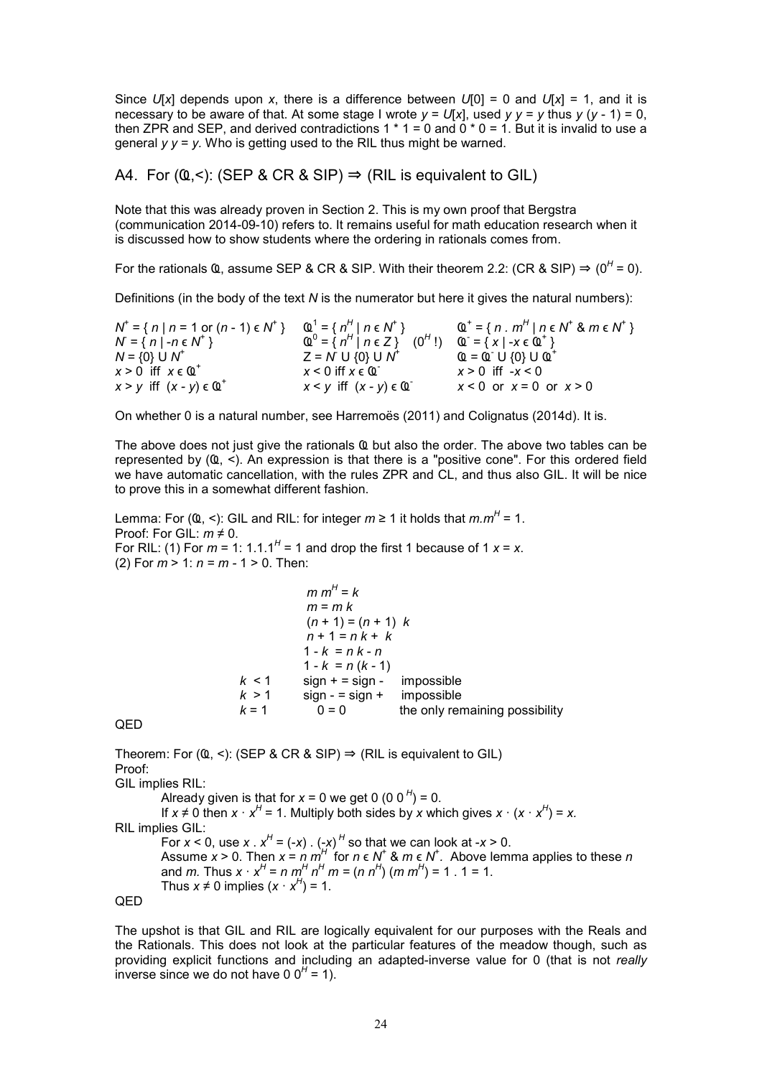Since  $U[x]$  depends upon *x*, there is a difference between  $U[0] = 0$  and  $U[x] = 1$ , and it is necessary to be aware of that. At some stage I wrote  $y = U[x]$ , used  $y = y$  thus  $y (y - 1) = 0$ , then ZPR and SEP, and derived contradictions 1  $*$  1 = 0 and 0  $*$  0 = 1. But it is invalid to use a general  $y = y$ . Who is getting used to the RIL thus might be warned.

A4. For  $(Q, \leq)$ : (SEP & CR & SIP)  $\Rightarrow$  (RIL is equivalent to GIL)

Note that this was already proven in Section 2. This is my own proof that Bergstra (communication 2014-09-10) refers to. It remains useful for math education research when it is discussed how to show students where the ordering in rationals comes from.

For the rationals  $\Omega$ , assume SEP & CR & SIP. With their theorem 2.2: (CR & SIP)  $\Rightarrow (0^H = 0)$ .

Definitions (in the body of the text *N* is the numerator but here it gives the natural numbers):

*N* + = { *n* | *n* = 1 or (*n* - 1) ϵ *N* + } Ҩ<sup>1</sup> = { *n H* | *n* ϵ *N* + } Ҩ<sup>+</sup>  $I = \{ n : m^H | n \in N^+ \& m \in N^+ \}$  $N = \{ n \mid -n \in N^+ \}$   $\qquad Q^0$  $= \{ n^H | n \in Z \}$  (0<sup>H</sup>!) **Ҩ** = {x| - x є **Ҩ**<sup>+</sup>} *N* = {0} U *N* + Z = *N* U {0} U N<sup>†</sup> ( Ҩ = Ҩ U {0} U Ҩ<sup>+</sup> *x* > 0 iff *x* ϵ Ҩ<sup>+</sup> *x* < 0 iff *x* ϵ Ҩ*x* > 0 iff -*x* < 0  $x > y$  iff  $(x - y) \in \mathbb{Q}^+$  $x < y$  iff  $(x - y) \in \mathbb{Q}^{-}$  $x < 0$  or  $x = 0$  or  $x > 0$ 

On whether 0 is a natural number, see Harremoës (2011) and Colignatus (2014d). It is.

The above does not just give the rationals **Ҩ** but also the order. The above two tables can be represented by (Ҩ, <). An expression is that there is a "positive cone". For this ordered field we have automatic cancellation, with the rules ZPR and CL, and thus also GIL. It will be nice to prove this in a somewhat different fashion.

Lemma: For (Ҩ, <): GIL and RIL: for integer *m* ≥ 1 it holds that *m.m<sup>H</sup>* = 1. Proof: For GIL: *m* ≠ 0. For RIL: (1) For  $m = 1$ : 1.1.1<sup>H</sup> = 1 and drop the first 1 because of 1  $x = x$ . (2) For *m* > 1: *n = m -* 1 > 0. Then:

$$
m mH = k
$$
  
\n
$$
m = m k
$$
  
\n
$$
(n + 1) = (n + 1) k
$$
  
\n
$$
n + 1 = n k + k
$$
  
\n
$$
1 - k = n k - n
$$
  
\n
$$
1 - k = n (k - 1)
$$
  
\n
$$
k < 1
$$
 sign + = sign - impossible  
\n
$$
k > 1
$$
 sign - = sign + impossible  
\n
$$
k = 1
$$
 0 = 0 the only remaining possibility

```
QED
```
Theorem: For ( $@$ , <): (SEP & CR & SIP)  $\Rightarrow$  (RIL is equivalent to GIL) Proof: GIL implies RIL: Already given is that for  $x = 0$  we get 0 (0 0<sup>H</sup>) = 0. If  $x \neq 0$  then  $x \cdot x^H = 1$ . Multiply both sides by *x* which gives  $x \cdot (x \cdot x^H) = x$ . RIL implies GIL: For  $x < 0$ , use  $x \cdot x^H = (-x) \cdot (-x)^H$  so that we can look at  $-x > 0$ . Assume  $x > 0$ . Then  $x = n \frac{m}{l}$  for  $n \in N^+$  &  $m \in N^+$ . Above lemma applies to these *n* and *m*. Thus  $x \cdot x^H = n \frac{m^H}{n^H} \frac{n^H}{m} = (n \frac{n^H}{m^H}) \frac{m^H}{m^H} = 1.1 = 1.1$ Thus  $x \neq 0$  implies  $(x \cdot x^H) = 1$ . QED

The upshot is that GIL and RIL are logically equivalent for our purposes with the Reals and the Rationals. This does not look at the particular features of the meadow though, such as providing explicit functions and including an adapted-inverse value for 0 (that is not *really* inverse since we do not have 0  $0^H$  = 1).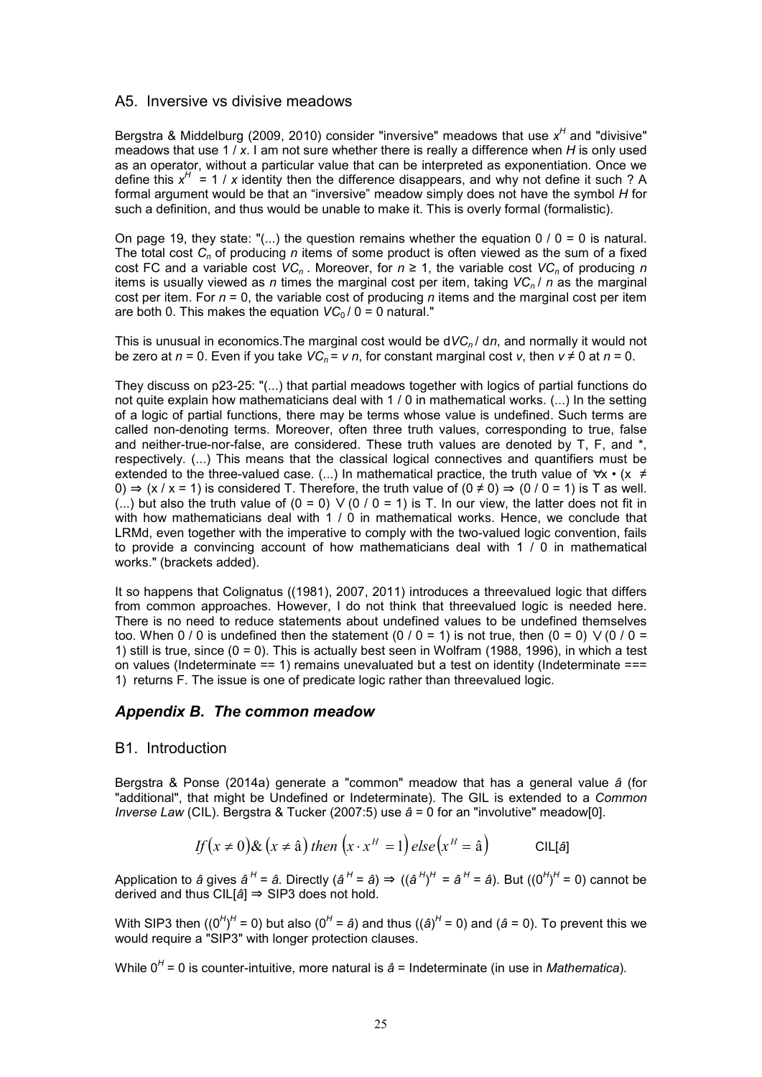### A5. Inversive vs divisive meadows

Bergstra & Middelburg (2009, 2010) consider "inversive" meadows that use x<sup>H</sup> and "divisive" meadows that use 1 / *x*. I am not sure whether there is really a difference when *H* is only used as an operator, without a particular value that can be interpreted as exponentiation. Once we define this  $x^H = 1 / x$  identity then the difference disappears, and why not define it such ? A formal argument would be that an "inversive" meadow simply does not have the symbol *H* for such a definition, and thus would be unable to make it. This is overly formal (formalistic).

On page 19, they state: "(...) the question remains whether the equation  $0/0 = 0$  is natural. The total cost *Cn* of producing *n* items of some product is often viewed as the sum of a fixed cost FC and a variable cost  $VC_n$ . Moreover, for  $n \ge 1$ , the variable cost  $VC_n$  of producing *n* items is usually viewed as *n* times the marginal cost per item, taking *VCn* / *n* as the marginal cost per item. For  $n = 0$ , the variable cost of producing  $n$  items and the marginal cost per item are both 0. This makes the equation  $VC_0/0 = 0$  natural."

This is unusual in economics.The marginal cost would be d*VCn* / d*n*, and normally it would not be zero at  $n = 0$ . Even if you take  $VC_n = v n$ , for constant marginal cost v, then  $v \neq 0$  at  $n = 0$ .

They discuss on p23-25: "(...) that partial meadows together with logics of partial functions do not quite explain how mathematicians deal with 1 / 0 in mathematical works. (...) In the setting of a logic of partial functions, there may be terms whose value is undefined. Such terms are called non-denoting terms. Moreover, often three truth values, corresponding to true, false and neither-true-nor-false, are considered. These truth values are denoted by T, F, and \*, respectively. (...) This means that the classical logical connectives and quantifiers must be extended to the three-valued case. (...) In mathematical practice, the truth value of  $\forall x \cdot (x \neq 0)$ 0)  $\Rightarrow$  (x / x = 1) is considered T. Therefore, the truth value of (0 ≠ 0)  $\Rightarrow$  (0 / 0 = 1) is T as well. (...) but also the truth value of  $(0 = 0)$  V  $(0 / 0 = 1)$  is T. In our view, the latter does not fit in with how mathematicians deal with 1 / 0 in mathematical works. Hence, we conclude that LRMd, even together with the imperative to comply with the two-valued logic convention, fails to provide a convincing account of how mathematicians deal with 1  $/$  0 in mathematical works." (brackets added).

It so happens that Colignatus ((1981), 2007, 2011) introduces a threevalued logic that differs from common approaches. However, I do not think that threevalued logic is needed here. There is no need to reduce statements about undefined values to be undefined themselves too. When 0 / 0 is undefined then the statement (0 / 0 = 1) is not true, then (0 = 0)  $\vee$  (0 / 0 = 1) still is true, since  $(0 = 0)$ . This is actually best seen in Wolfram (1988, 1996), in which a test on values (Indeterminate == 1) remains unevaluated but a test on identity (Indeterminate === 1) returns F. The issue is one of predicate logic rather than threevalued logic.

### *Appendix B. The common meadow*

### B1. Introduction

Bergstra & Ponse (2014a) generate a "common" meadow that has a general value *â* (for "additional", that might be Undefined or Indeterminate). The GIL is extended to a *Common Inverse Law* (CIL). Bergstra & Tucker (2007:5) use *â* = 0 for an "involutive" meadow[0].

$$
If (x \neq 0) \& (x \neq \hat{a}) then (x \cdot x^H = 1) else (x^H = \hat{a})
$$

Application to *â* gives  $\hat{a}^H$  =  $\hat{a}$ . Directly ( $\hat{a}^H$  =  $\hat{a}$ )  $\Rightarrow$  (( $\hat{a}^H$ )<sup>H</sup> =  $\hat{a}^H$  =  $\hat{a}$ ). But ((0<sup>H</sup>)<sup>H</sup> = 0) cannot be derived and thus CIL[*â*] ⇒ SIP3 does not hold.

With SIP3 then ((0<sup>H</sup>)<sup>H</sup> = 0) but also (0<sup>H</sup> = *â*) and thus ((*â*)<sup>H</sup> = 0) and (*â* = 0). To prevent this we would require a "SIP3" with longer protection clauses.

While 0<sup>H</sup> = 0 is counter-intuitive, more natural is  $\hat{a}$  = Indeterminate (in use in *Mathematica*).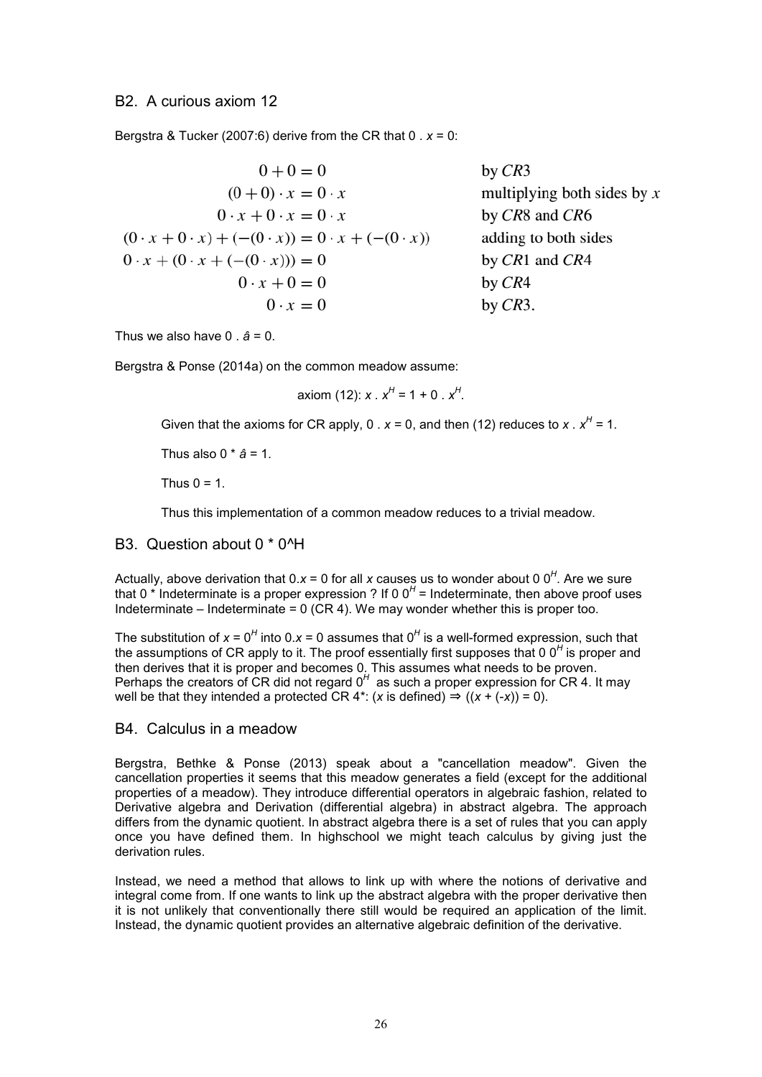Bergstra & Tucker (2007:6) derive from the CR that  $0 \cdot x = 0$ :

| $0 + 0 = 0$                                                             | by $CR3$                      |
|-------------------------------------------------------------------------|-------------------------------|
| $(0+0) \cdot x = 0 \cdot x$                                             | multiplying both sides by $x$ |
| $0 \cdot x + 0 \cdot x = 0 \cdot x$                                     | by CR8 and CR6                |
| $(0 \cdot x + 0 \cdot x) + (-(0 \cdot x)) = 0 \cdot x + (-(0 \cdot x))$ | adding to both sides          |
| $0 \cdot x + (0 \cdot x + (- (0 \cdot x))) = 0$                         | by $CR1$ and $CR4$            |
| $0 \cdot x + 0 = 0$                                                     | by $CR4$                      |
| $0 \cdot x = 0$                                                         | by $CR3$ .                    |

Thus we also have 0 . *â* = 0.

Bergstra & Ponse (2014a) on the common meadow assume:

axiom (12): *x* .  $x^H = 1 + 0$  .  $x^H$ .

Given that the axioms for CR apply, 0 .  $x = 0$ , and then (12) reduces to  $x \cdot x^H = 1$ .

Thus also  $0 * a = 1$ .

Thus  $0 = 1$ .

Thus this implementation of a common meadow reduces to a trivial meadow.

### B3. Question about 0 \* 0^H

Actually, above derivation that 0.x = 0 for all x causes us to wonder about 0 0<sup>H</sup>. Are we sure that 0<sup>\*</sup> Indeterminate is a proper expression ? If 0 0<sup>H</sup> = Indeterminate, then above proof uses Indeterminate – Indeterminate =  $0$  (CR 4). We may wonder whether this is proper too.

The substitution of  $x = 0<sup>H</sup>$  into 0. $x = 0$  assumes that  $0<sup>H</sup>$  is a well-formed expression, such that the assumptions of CR apply to it. The proof essentially first supposes that 0 0<sup>H</sup> is proper and then derives that it is proper and becomes 0. This assumes what needs to be proven. Perhaps the creators of CR did not regard 0<sup>H</sup> as such a proper expression for CR 4. It may well be that they intended a protected CR 4<sup>\*</sup>: (*x* is defined)  $\Rightarrow$  ((*x* + (-*x*)) = 0).

### B4. Calculus in a meadow

Bergstra, Bethke & Ponse (2013) speak about a "cancellation meadow". Given the cancellation properties it seems that this meadow generates a field (except for the additional properties of a meadow). They introduce differential operators in algebraic fashion, related to Derivative algebra and Derivation (differential algebra) in abstract algebra. The approach differs from the dynamic quotient. In abstract algebra there is a set of rules that you can apply once you have defined them. In highschool we might teach calculus by giving just the derivation rules.

Instead, we need a method that allows to link up with where the notions of derivative and integral come from. If one wants to link up the abstract algebra with the proper derivative then it is not unlikely that conventionally there still would be required an application of the limit. Instead, the dynamic quotient provides an alternative algebraic definition of the derivative.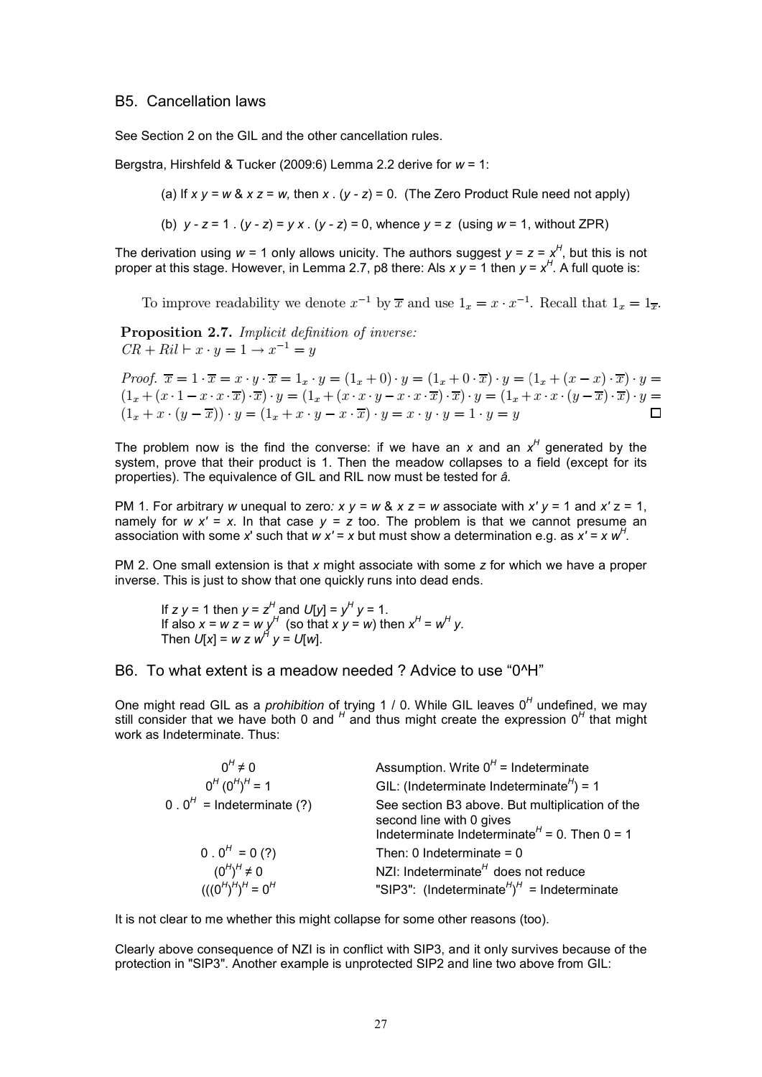### B5. Cancellation laws

See Section 2 on the GIL and the other cancellation rules.

Bergstra, Hirshfeld & Tucker (2009:6) Lemma 2.2 derive for *w* = 1:

(a) If  $x \vee y = w \& x \vee z = w$ , then  $x \cdot (y - z) = 0$ . (The Zero Product Rule need not apply)

(b)  $v - z = 1$ .  $(v - z) = v \times (v - z) = 0$ , whence  $v = z$  (using  $w = 1$ , without ZPR)

The derivation using  $w = 1$  only allows unicity. The authors suggest  $y = z = x^H$ , but this is not proper at this stage. However, in Lemma 2.7, p8 there: Als  $x y = 1$  then  $y = x^H$ . A full quote is:

To improve readability we denote  $x^{-1}$  by  $\overline{x}$  and use  $1_x = x \cdot x^{-1}$ . Recall that  $1_x = 1_{\overline{x}}$ .

Proposition 2.7. Implicit definition of inverse:  $CR + Ril \vdash x \cdot y = 1 \rightarrow x^{-1} = y$ 

*Proof.*  $\overline{x} = 1 \cdot \overline{x} = x \cdot y \cdot \overline{x} = 1_x \cdot y = (1_x + 0) \cdot y = (1_x + 0 \cdot \overline{x}) \cdot y = (1_x + (x - x) \cdot \overline{x}) \cdot y =$  $(1_x + (x \cdot 1 - x \cdot x \cdot \overline{x}) \cdot \overline{x}) \cdot y = (1_x + (x \cdot x \cdot y - x \cdot x \cdot \overline{x}) \cdot \overline{x}) \cdot y = (1_x + x \cdot x \cdot (y - \overline{x}) \cdot \overline{x}) \cdot y = (1_x + x \cdot x \cdot (y - \overline{x}) \cdot \overline{x}) \cdot y = (1_x + x \cdot x \cdot (y - \overline{x}) \cdot \overline{x}) \cdot y = (1_x + x \cdot x \cdot (y - \overline{x}) \cdot \overline{x}) \cdot y = (1_x + x \cdot x \cdot (y - \overline{x}) \cdot \overline{x}) \cdot y = (1_x + x \cdot$  $(1_x + x \cdot (y - \overline{x})) \cdot y = (1_x + x \cdot y - x \cdot \overline{x}) \cdot y = x \cdot y \cdot y = 1 \cdot y = y$ 

The problem now is the find the converse: if we have an  $x$  and an  $x^H$  generated by the system, prove that their product is 1. Then the meadow collapses to a field (except for its properties). The equivalence of GIL and RIL now must be tested for *â.*

PM 1. For arbitrary *w* unequal to zero:  $x y = w 8$ ,  $x z = w$  associate with  $x' y = 1$  and  $x' z = 1$ , namely for  $w x' = x$ . In that case  $y = z$  too. The problem is that we cannot presume an association with some *x*' such that *w x*' = *x* but must show a determination e.g. as  $x' = x w<sup>H</sup>$ .

PM 2. One small extension is that *x* might associate with some *z* for which we have a proper inverse. This is just to show that one quickly runs into dead ends.

If *z y* = 1 then *y* =  $z^H$  and *U*[*y*] =  $y^H$  *y* = 1. If also  $x = w z = w y^H$  (so that  $xy = w$ ) then  $x^H = w^H y$ . Then  $U[x] = w z w^H y = U[w]$ .

### B6. To what extent is a meadow needed ? Advice to use "0^H"

One might read GIL as a *prohibition* of trying 1 / 0. While GIL leaves 0<sup>H</sup> undefined, we may still consider that we have both 0 and <sup>H</sup> and thus might create the expression 0<sup>H</sup> that might work as Indeterminate. Thus:

| $0^H \neq 0$                                      | Assumption. Write $0^H$ = Indeterminate                                                                                                              |
|---------------------------------------------------|------------------------------------------------------------------------------------------------------------------------------------------------------|
| $0^{H} (0^{H})^{H} = 1$                           | GIL: (Indeterminate Indeterminate $H$ ) = 1                                                                                                          |
| 0.0 <sup><math>H</math></sup> = Indeterminate (?) | See section B3 above. But multiplication of the<br>second line with 0 gives<br>Indeterminate Indeterminate <sup><math>H</math></sup> = 0. Then 0 = 1 |
| $0.0^H = 0$ (?)                                   | Then: 0 Indeterminate = $0$                                                                                                                          |
| $(0^H)^H \neq 0$                                  | NZI: Indeterminate $H$ does not reduce                                                                                                               |
| $(((0^H)^H)^H = 0^H$                              | "SIP3": (Indeterminate <sup><math>H</math></sup> ) <sup><math>H</math></sup> = Indeterminate                                                         |

It is not clear to me whether this might collapse for some other reasons (too).

Clearly above consequence of NZI is in conflict with SIP3, and it only survives because of the protection in "SIP3". Another example is unprotected SIP2 and line two above from GIL: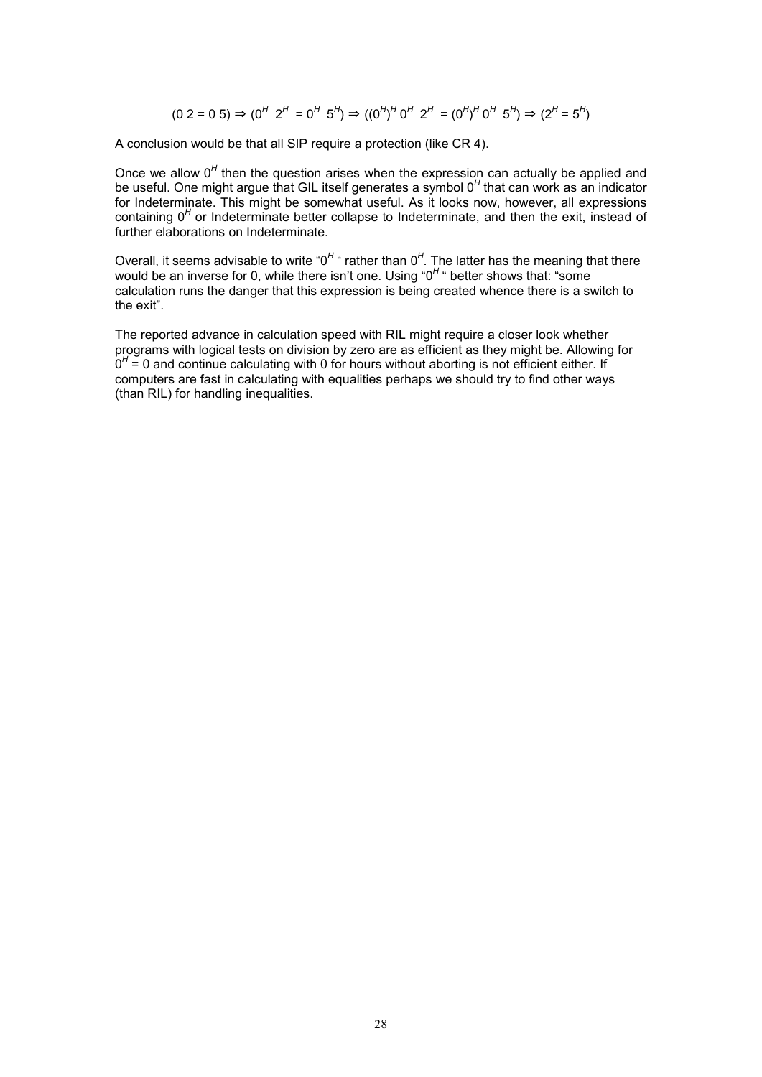$$
(0\ 2 = 0\ 5) \Rightarrow (0^H\ 2^H = 0^H\ 5^H) \Rightarrow ((0^H)^H\ 0^H\ 2^H = (0^H)^H\ 0^H\ 5^H) \Rightarrow (2^H = 5^H)
$$

A conclusion would be that all SIP require a protection (like CR 4).

Once we allow 0<sup>H</sup> then the question arises when the expression can actually be applied and be useful. One might argue that GIL itself generates a symbol 0<sup>H</sup> that can work as an indicator for Indeterminate. This might be somewhat useful. As it looks now, however, all expressions containing 0<sup>H</sup> or Indeterminate better collapse to Indeterminate, and then the exit, instead of further elaborations on Indeterminate.

Overall, it seems advisable to write "0<sup>H</sup> " rather than 0<sup>H</sup>. The latter has the meaning that there would be an inverse for 0, while there isn't one. Using "0<sup>H</sup> " better shows that: "some calculation runs the danger that this expression is being created whence there is a switch to the exit".

The reported advance in calculation speed with RIL might require a closer look whether programs with logical tests on division by zero are as efficient as they might be. Allowing for  $0<sup>H</sup>$  = 0 and continue calculating with 0 for hours without aborting is not efficient either. If computers are fast in calculating with equalities perhaps we should try to find other ways (than RIL) for handling inequalities.